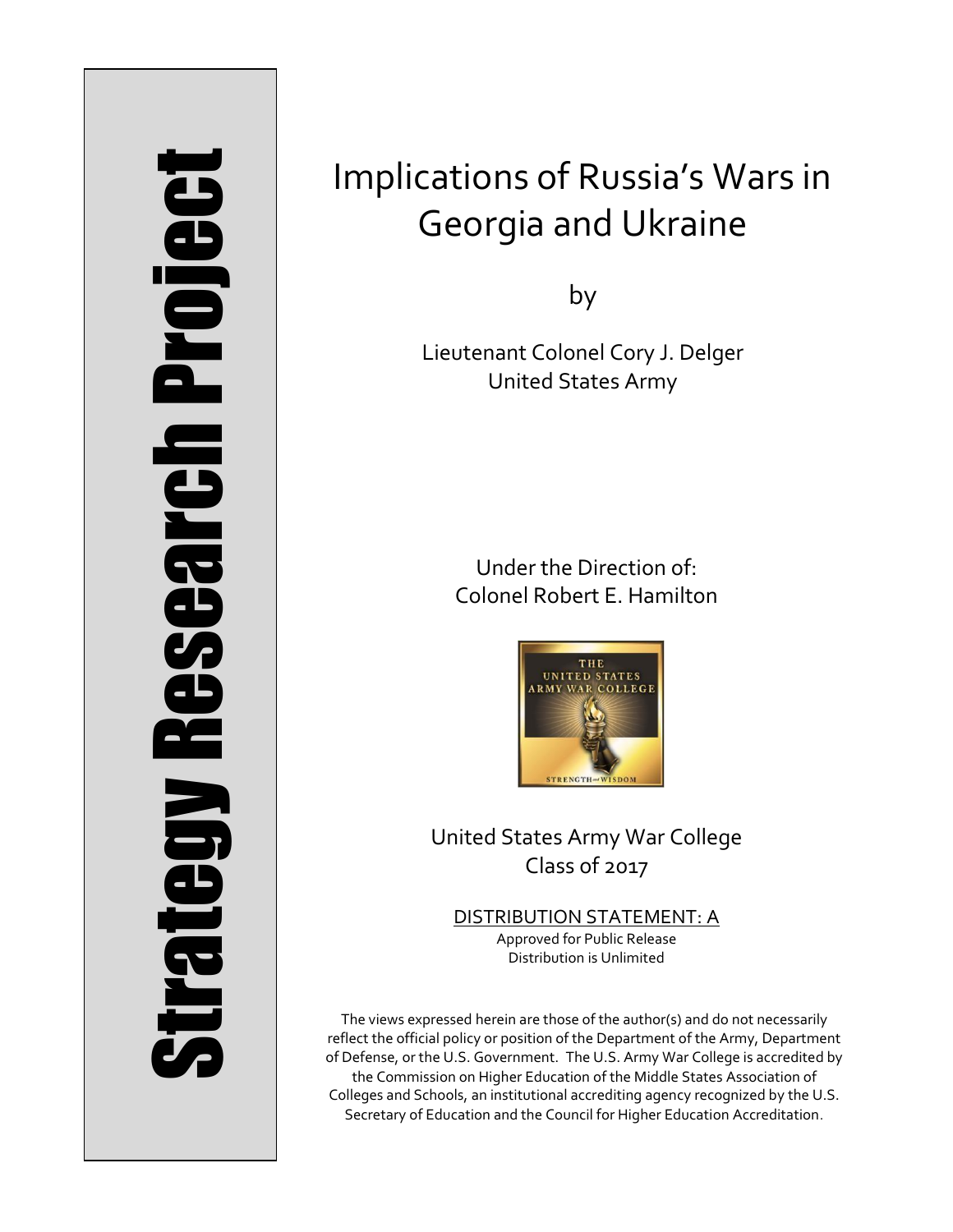# Strategy Research Project **Strategy Research Project**

# Implications of Russia's Wars in Georgia and Ukraine

by

Lieutenant Colonel Cory J. Delger United States Army

> Under the Direction of: Colonel Robert E. Hamilton



United States Army War College Class of 2017

DISTRIBUTION STATEMENT: A Approved for Public Release Distribution is Unlimited

The views expressed herein are those of the author(s) and do not necessarily reflect the official policy or position of the Department of the Army, Department of Defense, or the U.S. Government. The U.S. Army War College is accredited by the Commission on Higher Education of the Middle States Association of Colleges and Schools, an institutional accrediting agency recognized by the U.S. Secretary of Education and the Council for Higher Education Accreditation.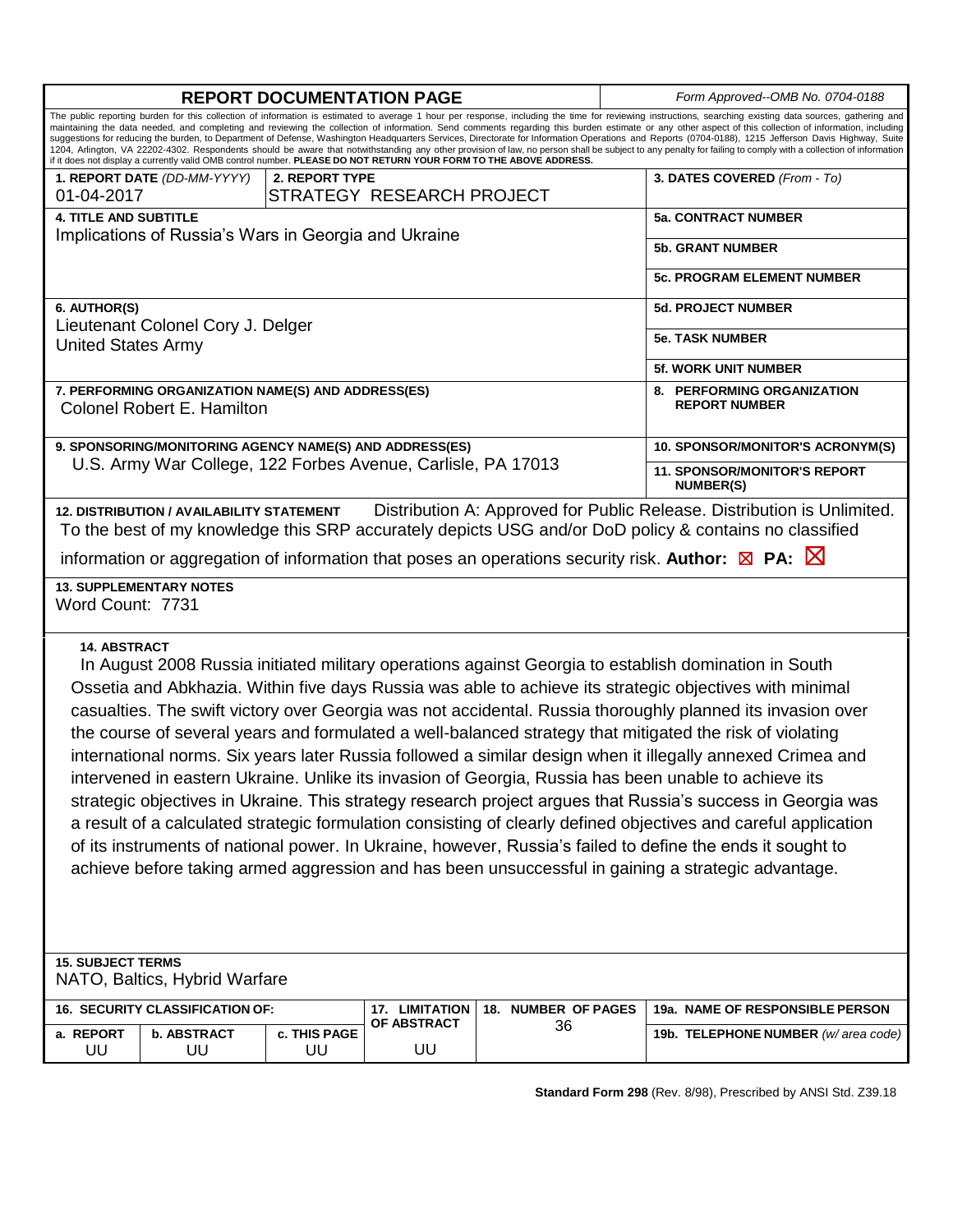| <b>REPORT DOCUMENTATION PAGE</b>                                                                                                                                                                                                                                                                                                                                                                                                                                                                                                                                                                                                                                                                                                                                                                                                                                                                                                                                                                                                                                                                                                             |                    |                           |                         |                                         | Form Approved--OMB No. 0704-0188                        |  |
|----------------------------------------------------------------------------------------------------------------------------------------------------------------------------------------------------------------------------------------------------------------------------------------------------------------------------------------------------------------------------------------------------------------------------------------------------------------------------------------------------------------------------------------------------------------------------------------------------------------------------------------------------------------------------------------------------------------------------------------------------------------------------------------------------------------------------------------------------------------------------------------------------------------------------------------------------------------------------------------------------------------------------------------------------------------------------------------------------------------------------------------------|--------------------|---------------------------|-------------------------|-----------------------------------------|---------------------------------------------------------|--|
| The public reporting burden for this collection of information is estimated to average 1 hour per response, including the time for reviewing instructions, searching existing data sources, gathering and<br>maintaining the data needed, and completing and reviewing the collection of information. Send comments regarding this burden estimate or any other aspect of this collection of information, including<br>suggestions for reducing the burden, to Department of Defense, Washington Headquarters Services, Directorate for Information Operations and Reports (0704-0188), 1215 Jefferson Davis Highway, Suite<br>1204, Arlington, VA 22202-4302. Respondents should be aware that notwithstanding any other provision of law, no person shall be subject to any penalty for failing to comply with a collection of information<br>if it does not display a currently valid OMB control number. PLEASE DO NOT RETURN YOUR FORM TO THE ABOVE ADDRESS.                                                                                                                                                                            |                    |                           |                         |                                         |                                                         |  |
| 1. REPORT DATE (DD-MM-YYYY)                                                                                                                                                                                                                                                                                                                                                                                                                                                                                                                                                                                                                                                                                                                                                                                                                                                                                                                                                                                                                                                                                                                  | 2. REPORT TYPE     |                           |                         |                                         | 3. DATES COVERED (From - To)                            |  |
| 01-04-2017                                                                                                                                                                                                                                                                                                                                                                                                                                                                                                                                                                                                                                                                                                                                                                                                                                                                                                                                                                                                                                                                                                                                   |                    | STRATEGY RESEARCH PROJECT |                         |                                         |                                                         |  |
| <b>4. TITLE AND SUBTITLE</b><br>Implications of Russia's Wars in Georgia and Ukraine                                                                                                                                                                                                                                                                                                                                                                                                                                                                                                                                                                                                                                                                                                                                                                                                                                                                                                                                                                                                                                                         |                    |                           |                         | <b>5a. CONTRACT NUMBER</b>              |                                                         |  |
|                                                                                                                                                                                                                                                                                                                                                                                                                                                                                                                                                                                                                                                                                                                                                                                                                                                                                                                                                                                                                                                                                                                                              |                    |                           | <b>5b. GRANT NUMBER</b> |                                         |                                                         |  |
|                                                                                                                                                                                                                                                                                                                                                                                                                                                                                                                                                                                                                                                                                                                                                                                                                                                                                                                                                                                                                                                                                                                                              |                    |                           |                         | <b>5c. PROGRAM ELEMENT NUMBER</b>       |                                                         |  |
| 6. AUTHOR(S)                                                                                                                                                                                                                                                                                                                                                                                                                                                                                                                                                                                                                                                                                                                                                                                                                                                                                                                                                                                                                                                                                                                                 |                    |                           |                         | <b>5d. PROJECT NUMBER</b>               |                                                         |  |
| Lieutenant Colonel Cory J. Delger<br><b>United States Army</b>                                                                                                                                                                                                                                                                                                                                                                                                                                                                                                                                                                                                                                                                                                                                                                                                                                                                                                                                                                                                                                                                               |                    |                           |                         | <b>5e. TASK NUMBER</b>                  |                                                         |  |
|                                                                                                                                                                                                                                                                                                                                                                                                                                                                                                                                                                                                                                                                                                                                                                                                                                                                                                                                                                                                                                                                                                                                              |                    |                           |                         |                                         | <b>5f. WORK UNIT NUMBER</b>                             |  |
| 7. PERFORMING ORGANIZATION NAME(S) AND ADDRESS(ES)<br>Colonel Robert E. Hamilton                                                                                                                                                                                                                                                                                                                                                                                                                                                                                                                                                                                                                                                                                                                                                                                                                                                                                                                                                                                                                                                             |                    |                           |                         |                                         | 8. PERFORMING ORGANIZATION<br><b>REPORT NUMBER</b>      |  |
| 9. SPONSORING/MONITORING AGENCY NAME(S) AND ADDRESS(ES)                                                                                                                                                                                                                                                                                                                                                                                                                                                                                                                                                                                                                                                                                                                                                                                                                                                                                                                                                                                                                                                                                      |                    |                           |                         | <b>10. SPONSOR/MONITOR'S ACRONYM(S)</b> |                                                         |  |
| U.S. Army War College, 122 Forbes Avenue, Carlisle, PA 17013                                                                                                                                                                                                                                                                                                                                                                                                                                                                                                                                                                                                                                                                                                                                                                                                                                                                                                                                                                                                                                                                                 |                    |                           |                         |                                         | <b>11. SPONSOR/MONITOR'S REPORT</b><br><b>NUMBER(S)</b> |  |
| Distribution A: Approved for Public Release. Distribution is Unlimited.<br>12. DISTRIBUTION / AVAILABILITY STATEMENT<br>To the best of my knowledge this SRP accurately depicts USG and/or DoD policy & contains no classified<br>information or aggregation of information that poses an operations security risk. Author: $\boxtimes$ PA: $\boxtimes$                                                                                                                                                                                                                                                                                                                                                                                                                                                                                                                                                                                                                                                                                                                                                                                      |                    |                           |                         |                                         |                                                         |  |
| <b>13. SUPPLEMENTARY NOTES</b><br>Word Count: 7731                                                                                                                                                                                                                                                                                                                                                                                                                                                                                                                                                                                                                                                                                                                                                                                                                                                                                                                                                                                                                                                                                           |                    |                           |                         |                                         |                                                         |  |
| <b>14. ABSTRACT</b><br>In August 2008 Russia initiated military operations against Georgia to establish domination in South<br>Ossetia and Abkhazia. Within five days Russia was able to achieve its strategic objectives with minimal<br>casualties. The swift victory over Georgia was not accidental. Russia thoroughly planned its invasion over<br>the course of several years and formulated a well-balanced strategy that mitigated the risk of violating<br>international norms. Six years later Russia followed a similar design when it illegally annexed Crimea and<br>intervened in eastern Ukraine. Unlike its invasion of Georgia, Russia has been unable to achieve its<br>strategic objectives in Ukraine. This strategy research project argues that Russia's success in Georgia was<br>a result of a calculated strategic formulation consisting of clearly defined objectives and careful application<br>of its instruments of national power. In Ukraine, however, Russia's failed to define the ends it sought to<br>achieve before taking armed aggression and has been unsuccessful in gaining a strategic advantage. |                    |                           |                         |                                         |                                                         |  |
| <b>15. SUBJECT TERMS</b><br>NATO, Baltics, Hybrid Warfare                                                                                                                                                                                                                                                                                                                                                                                                                                                                                                                                                                                                                                                                                                                                                                                                                                                                                                                                                                                                                                                                                    |                    |                           |                         |                                         |                                                         |  |
| 16. SECURITY CLASSIFICATION OF:                                                                                                                                                                                                                                                                                                                                                                                                                                                                                                                                                                                                                                                                                                                                                                                                                                                                                                                                                                                                                                                                                                              |                    | 17. LIMITATION            | 18. NUMBER OF PAGES     |                                         | 19a. NAME OF RESPONSIBLE PERSON                         |  |
| a. REPORT<br><b>b. ABSTRACT</b><br>UU<br>UU                                                                                                                                                                                                                                                                                                                                                                                                                                                                                                                                                                                                                                                                                                                                                                                                                                                                                                                                                                                                                                                                                                  | c. THIS PAGE<br>UU | OF ABSTRACT<br>UU         | 36                      |                                         | 19b. TELEPHONE NUMBER (w/ area code)                    |  |

**Standard Form 298** (Rev. 8/98), Prescribed by ANSI Std. Z39.18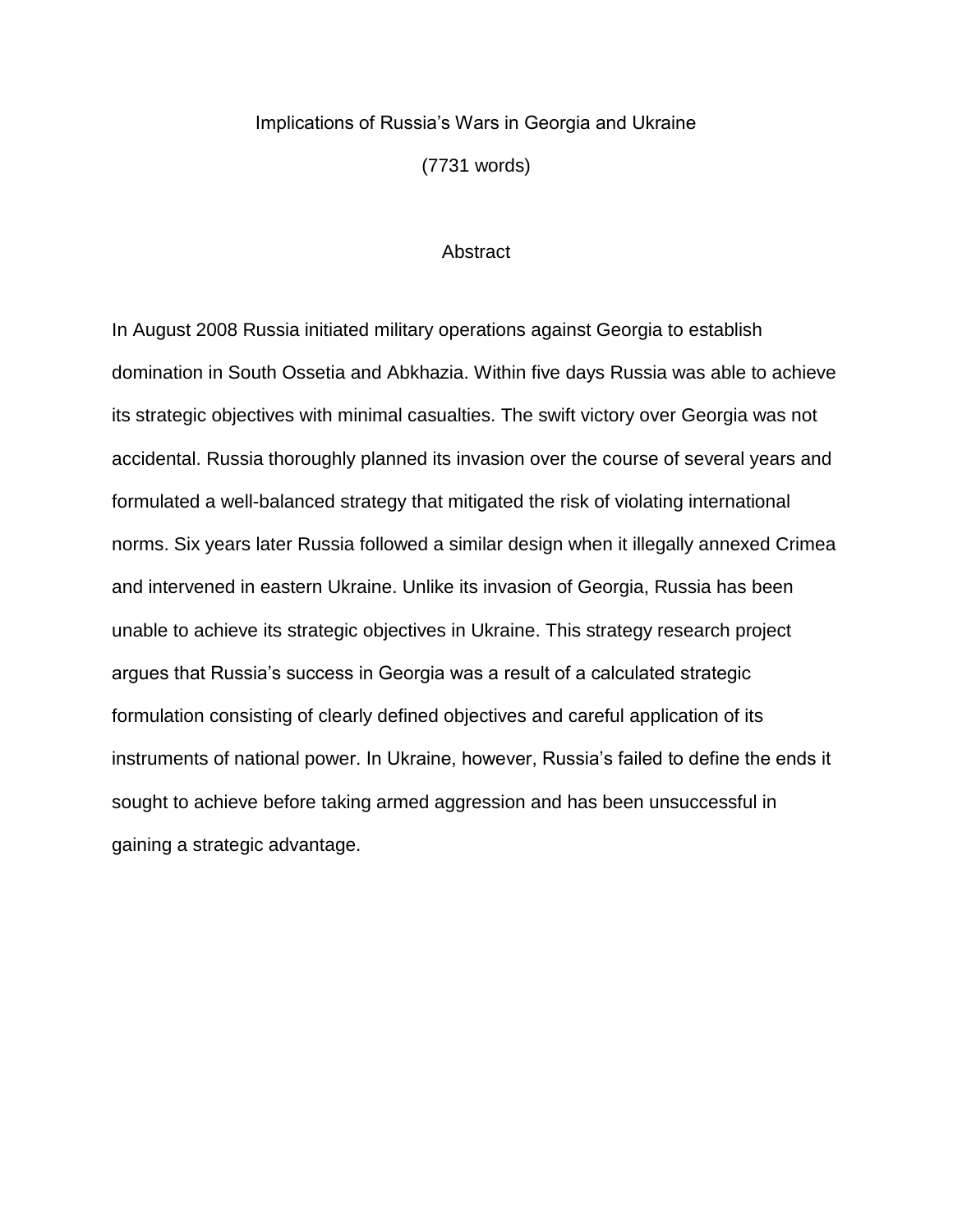### Implications of Russia's Wars in Georgia and Ukraine

(7731 words)

### **Abstract**

In August 2008 Russia initiated military operations against Georgia to establish domination in South Ossetia and Abkhazia. Within five days Russia was able to achieve its strategic objectives with minimal casualties. The swift victory over Georgia was not accidental. Russia thoroughly planned its invasion over the course of several years and formulated a well-balanced strategy that mitigated the risk of violating international norms. Six years later Russia followed a similar design when it illegally annexed Crimea and intervened in eastern Ukraine. Unlike its invasion of Georgia, Russia has been unable to achieve its strategic objectives in Ukraine. This strategy research project argues that Russia's success in Georgia was a result of a calculated strategic formulation consisting of clearly defined objectives and careful application of its instruments of national power. In Ukraine, however, Russia's failed to define the ends it sought to achieve before taking armed aggression and has been unsuccessful in gaining a strategic advantage.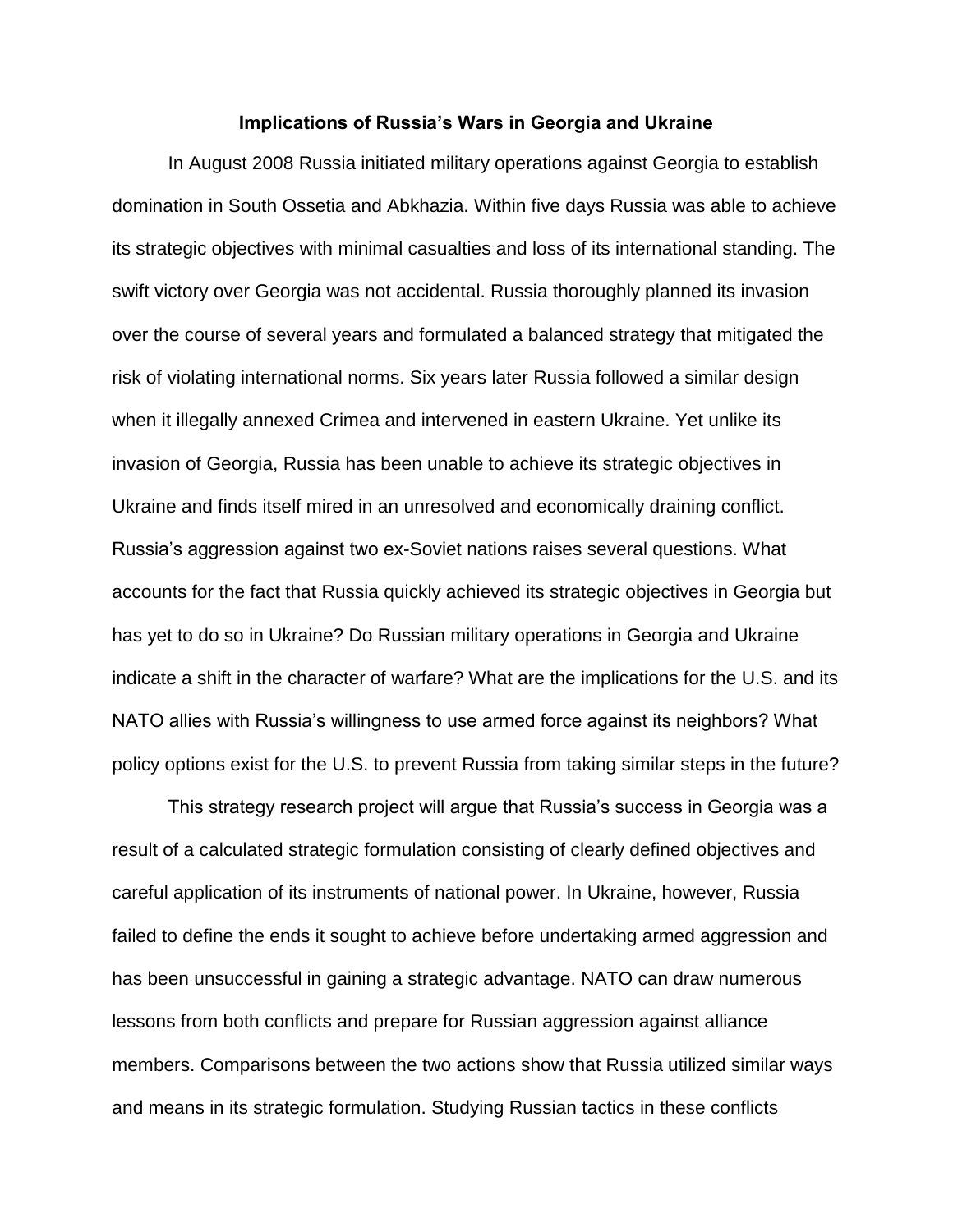### **Implications of Russia's Wars in Georgia and Ukraine**

In August 2008 Russia initiated military operations against Georgia to establish domination in South Ossetia and Abkhazia. Within five days Russia was able to achieve its strategic objectives with minimal casualties and loss of its international standing. The swift victory over Georgia was not accidental. Russia thoroughly planned its invasion over the course of several years and formulated a balanced strategy that mitigated the risk of violating international norms. Six years later Russia followed a similar design when it illegally annexed Crimea and intervened in eastern Ukraine. Yet unlike its invasion of Georgia, Russia has been unable to achieve its strategic objectives in Ukraine and finds itself mired in an unresolved and economically draining conflict. Russia's aggression against two ex-Soviet nations raises several questions. What accounts for the fact that Russia quickly achieved its strategic objectives in Georgia but has yet to do so in Ukraine? Do Russian military operations in Georgia and Ukraine indicate a shift in the character of warfare? What are the implications for the U.S. and its NATO allies with Russia's willingness to use armed force against its neighbors? What policy options exist for the U.S. to prevent Russia from taking similar steps in the future?

This strategy research project will argue that Russia's success in Georgia was a result of a calculated strategic formulation consisting of clearly defined objectives and careful application of its instruments of national power. In Ukraine, however, Russia failed to define the ends it sought to achieve before undertaking armed aggression and has been unsuccessful in gaining a strategic advantage. NATO can draw numerous lessons from both conflicts and prepare for Russian aggression against alliance members. Comparisons between the two actions show that Russia utilized similar ways and means in its strategic formulation. Studying Russian tactics in these conflicts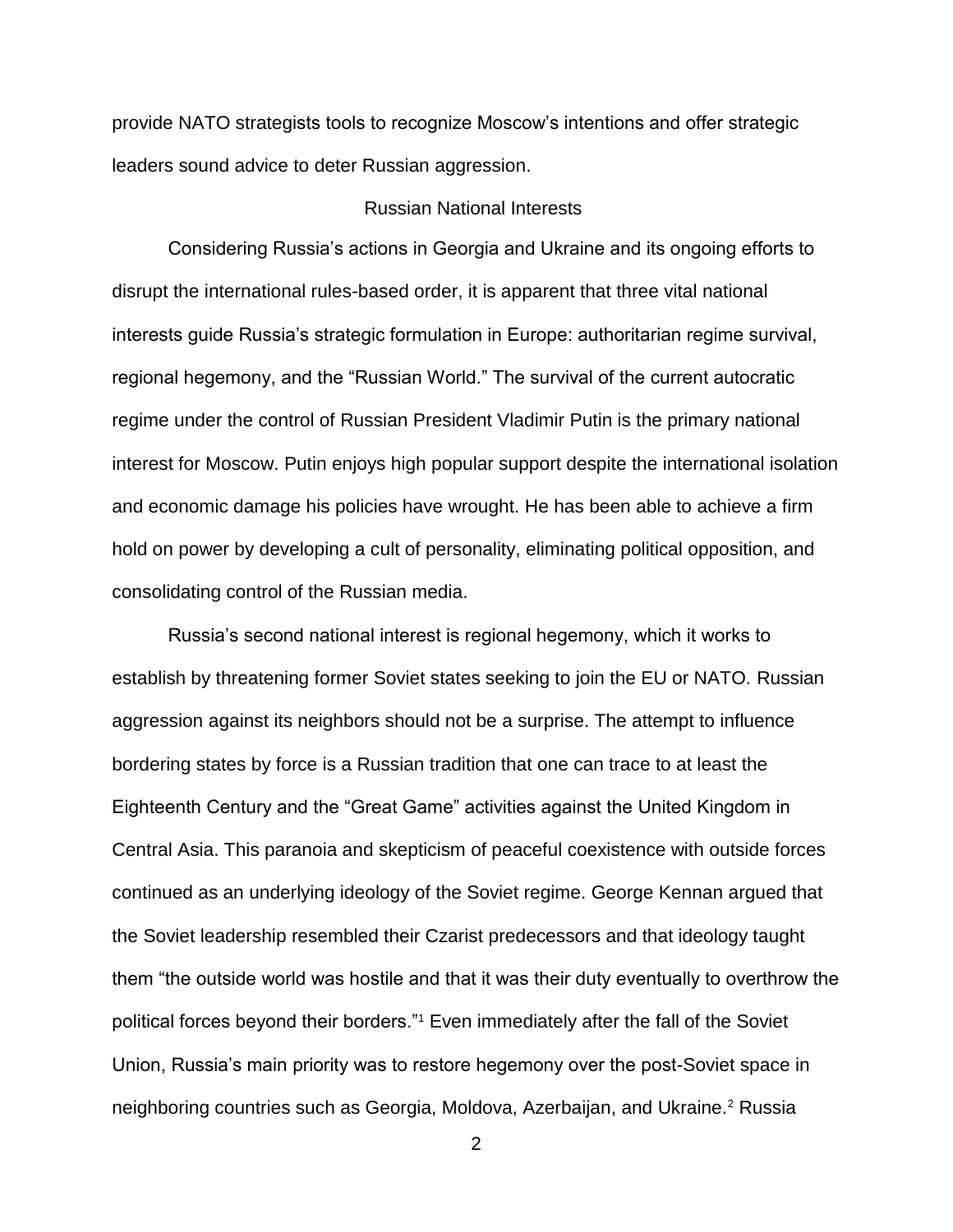provide NATO strategists tools to recognize Moscow's intentions and offer strategic leaders sound advice to deter Russian aggression.

# Russian National Interests

Considering Russia's actions in Georgia and Ukraine and its ongoing efforts to disrupt the international rules-based order, it is apparent that three vital national interests guide Russia's strategic formulation in Europe: authoritarian regime survival, regional hegemony, and the "Russian World." The survival of the current autocratic regime under the control of Russian President Vladimir Putin is the primary national interest for Moscow. Putin enjoys high popular support despite the international isolation and economic damage his policies have wrought. He has been able to achieve a firm hold on power by developing a cult of personality, eliminating political opposition, and consolidating control of the Russian media.

Russia's second national interest is regional hegemony, which it works to establish by threatening former Soviet states seeking to join the EU or NATO. Russian aggression against its neighbors should not be a surprise. The attempt to influence bordering states by force is a Russian tradition that one can trace to at least the Eighteenth Century and the "Great Game" activities against the United Kingdom in Central Asia. This paranoia and skepticism of peaceful coexistence with outside forces continued as an underlying ideology of the Soviet regime. George Kennan argued that the Soviet leadership resembled their Czarist predecessors and that ideology taught them "the outside world was hostile and that it was their duty eventually to overthrow the political forces beyond their borders."<sup>1</sup> Even immediately after the fall of the Soviet Union, Russia's main priority was to restore hegemony over the post-Soviet space in neighboring countries such as Georgia, Moldova, Azerbaijan, and Ukraine.<sup>2</sup> Russia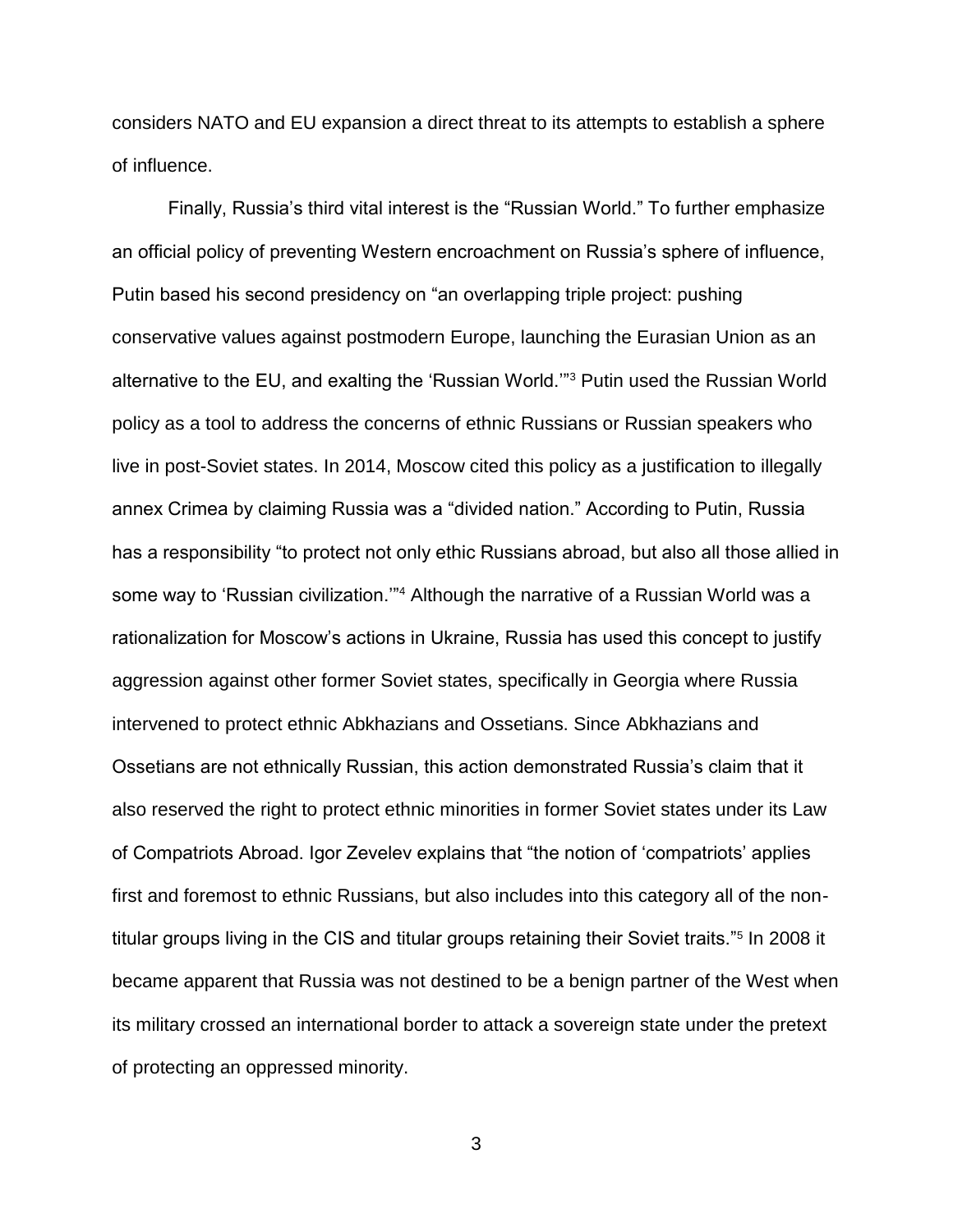considers NATO and EU expansion a direct threat to its attempts to establish a sphere of influence.

Finally, Russia's third vital interest is the "Russian World." To further emphasize an official policy of preventing Western encroachment on Russia's sphere of influence, Putin based his second presidency on "an overlapping triple project: pushing conservative values against postmodern Europe, launching the Eurasian Union as an alternative to the EU, and exalting the 'Russian World.'"<sup>3</sup> Putin used the Russian World policy as a tool to address the concerns of ethnic Russians or Russian speakers who live in post-Soviet states. In 2014, Moscow cited this policy as a justification to illegally annex Crimea by claiming Russia was a "divided nation." According to Putin, Russia has a responsibility "to protect not only ethic Russians abroad, but also all those allied in some way to 'Russian civilization."<sup>4</sup> Although the narrative of a Russian World was a rationalization for Moscow's actions in Ukraine, Russia has used this concept to justify aggression against other former Soviet states, specifically in Georgia where Russia intervened to protect ethnic Abkhazians and Ossetians. Since Abkhazians and Ossetians are not ethnically Russian, this action demonstrated Russia's claim that it also reserved the right to protect ethnic minorities in former Soviet states under its Law of Compatriots Abroad. Igor Zevelev explains that "the notion of 'compatriots' applies first and foremost to ethnic Russians, but also includes into this category all of the nontitular groups living in the CIS and titular groups retaining their Soviet traits."<sup>5</sup> In 2008 it became apparent that Russia was not destined to be a benign partner of the West when its military crossed an international border to attack a sovereign state under the pretext of protecting an oppressed minority.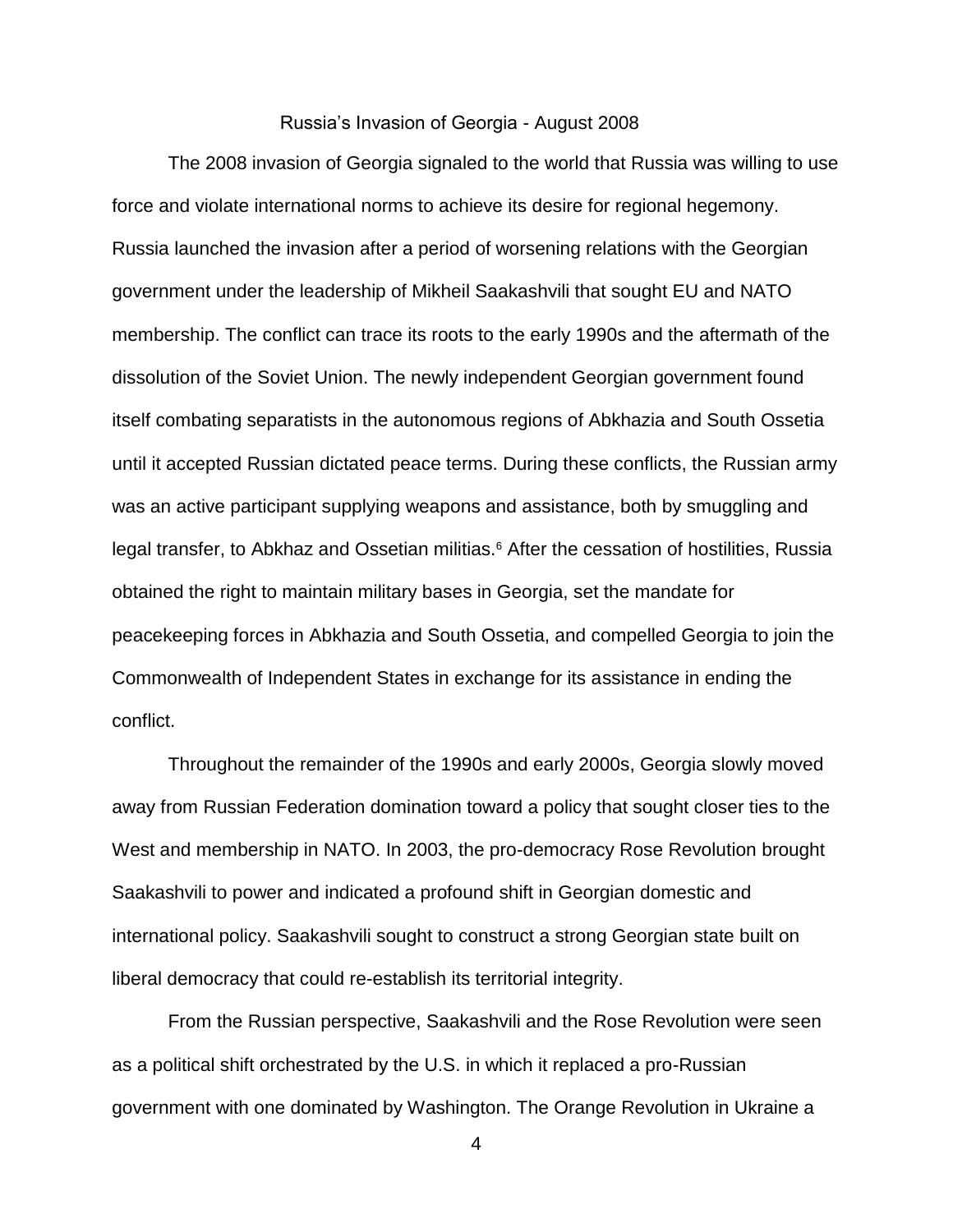### Russia's Invasion of Georgia - August 2008

The 2008 invasion of Georgia signaled to the world that Russia was willing to use force and violate international norms to achieve its desire for regional hegemony. Russia launched the invasion after a period of worsening relations with the Georgian government under the leadership of Mikheil Saakashvili that sought EU and NATO membership. The conflict can trace its roots to the early 1990s and the aftermath of the dissolution of the Soviet Union. The newly independent Georgian government found itself combating separatists in the autonomous regions of Abkhazia and South Ossetia until it accepted Russian dictated peace terms. During these conflicts, the Russian army was an active participant supplying weapons and assistance, both by smuggling and legal transfer, to Abkhaz and Ossetian militias.<sup>6</sup> After the cessation of hostilities, Russia obtained the right to maintain military bases in Georgia, set the mandate for peacekeeping forces in Abkhazia and South Ossetia, and compelled Georgia to join the Commonwealth of Independent States in exchange for its assistance in ending the conflict.

Throughout the remainder of the 1990s and early 2000s, Georgia slowly moved away from Russian Federation domination toward a policy that sought closer ties to the West and membership in NATO. In 2003, the pro-democracy Rose Revolution brought Saakashvili to power and indicated a profound shift in Georgian domestic and international policy. Saakashvili sought to construct a strong Georgian state built on liberal democracy that could re-establish its territorial integrity.

From the Russian perspective, Saakashvili and the Rose Revolution were seen as a political shift orchestrated by the U.S. in which it replaced a pro-Russian government with one dominated by Washington. The Orange Revolution in Ukraine a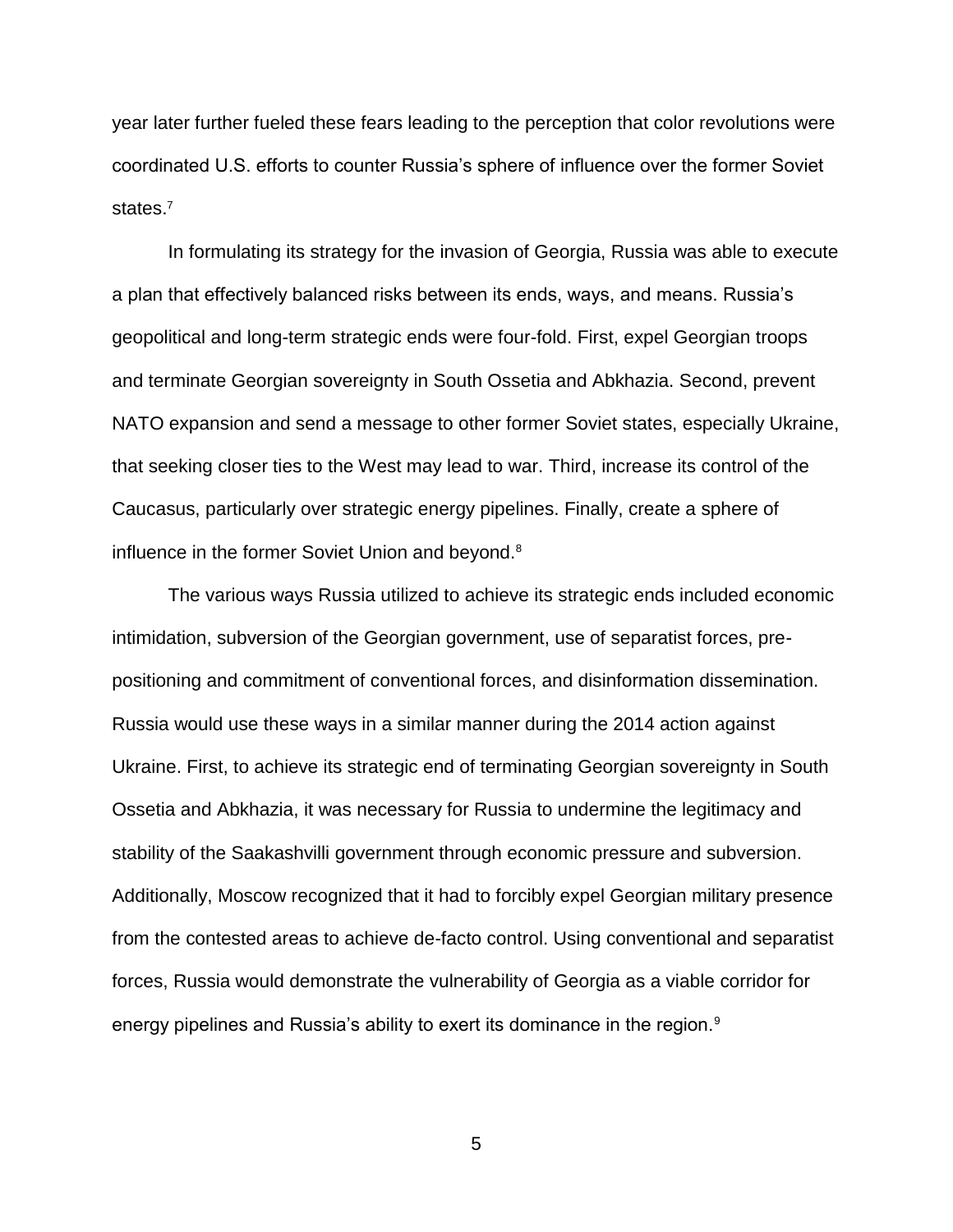year later further fueled these fears leading to the perception that color revolutions were coordinated U.S. efforts to counter Russia's sphere of influence over the former Soviet states.<sup>7</sup>

In formulating its strategy for the invasion of Georgia, Russia was able to execute a plan that effectively balanced risks between its ends, ways, and means. Russia's geopolitical and long-term strategic ends were four-fold. First, expel Georgian troops and terminate Georgian sovereignty in South Ossetia and Abkhazia. Second, prevent NATO expansion and send a message to other former Soviet states, especially Ukraine, that seeking closer ties to the West may lead to war. Third, increase its control of the Caucasus, particularly over strategic energy pipelines. Finally, create a sphere of influence in the former Soviet Union and beyond.<sup>8</sup>

The various ways Russia utilized to achieve its strategic ends included economic intimidation, subversion of the Georgian government, use of separatist forces, prepositioning and commitment of conventional forces, and disinformation dissemination. Russia would use these ways in a similar manner during the 2014 action against Ukraine. First, to achieve its strategic end of terminating Georgian sovereignty in South Ossetia and Abkhazia, it was necessary for Russia to undermine the legitimacy and stability of the Saakashvilli government through economic pressure and subversion. Additionally, Moscow recognized that it had to forcibly expel Georgian military presence from the contested areas to achieve de-facto control. Using conventional and separatist forces, Russia would demonstrate the vulnerability of Georgia as a viable corridor for energy pipelines and Russia's ability to exert its dominance in the region.<sup>9</sup>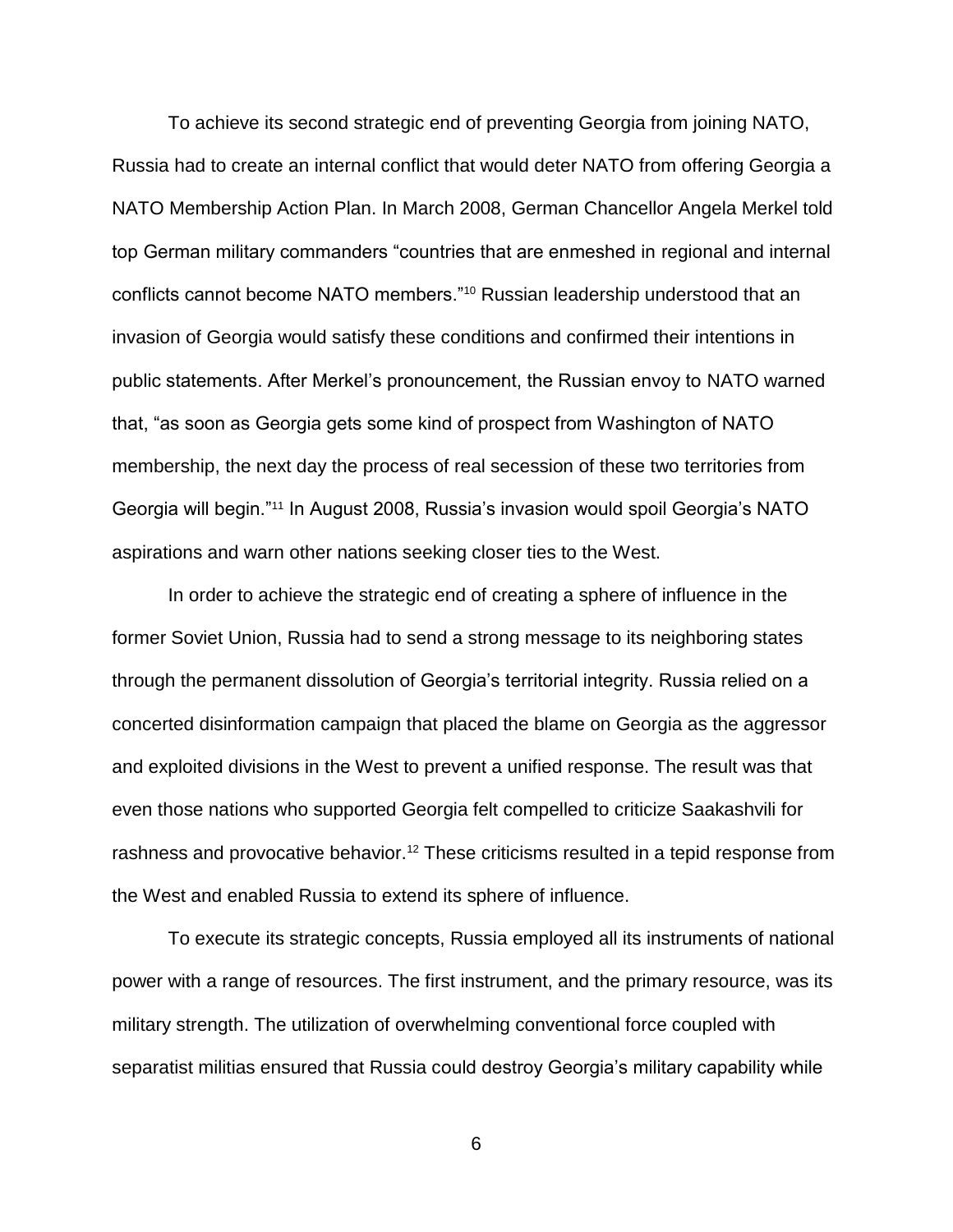To achieve its second strategic end of preventing Georgia from joining NATO, Russia had to create an internal conflict that would deter NATO from offering Georgia a NATO Membership Action Plan. In March 2008, German Chancellor Angela Merkel told top German military commanders "countries that are enmeshed in regional and internal conflicts cannot become NATO members."<sup>10</sup> Russian leadership understood that an invasion of Georgia would satisfy these conditions and confirmed their intentions in public statements. After Merkel's pronouncement, the Russian envoy to NATO warned that, "as soon as Georgia gets some kind of prospect from Washington of NATO membership, the next day the process of real secession of these two territories from Georgia will begin."<sup>11</sup> In August 2008, Russia's invasion would spoil Georgia's NATO aspirations and warn other nations seeking closer ties to the West.

In order to achieve the strategic end of creating a sphere of influence in the former Soviet Union, Russia had to send a strong message to its neighboring states through the permanent dissolution of Georgia's territorial integrity. Russia relied on a concerted disinformation campaign that placed the blame on Georgia as the aggressor and exploited divisions in the West to prevent a unified response. The result was that even those nations who supported Georgia felt compelled to criticize Saakashvili for rashness and provocative behavior.<sup>12</sup> These criticisms resulted in a tepid response from the West and enabled Russia to extend its sphere of influence.

To execute its strategic concepts, Russia employed all its instruments of national power with a range of resources. The first instrument, and the primary resource, was its military strength. The utilization of overwhelming conventional force coupled with separatist militias ensured that Russia could destroy Georgia's military capability while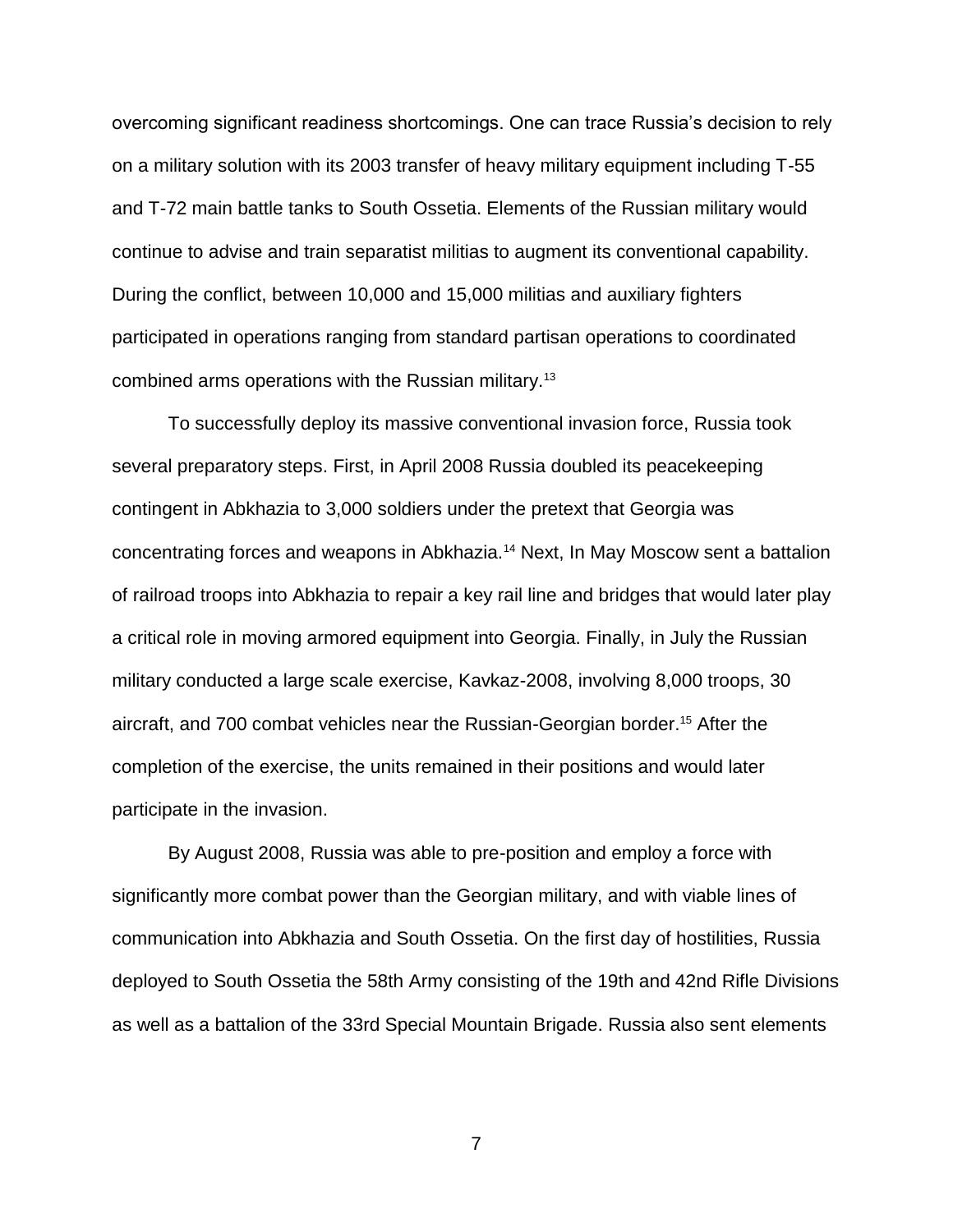overcoming significant readiness shortcomings. One can trace Russia's decision to rely on a military solution with its 2003 transfer of heavy military equipment including T-55 and T-72 main battle tanks to South Ossetia. Elements of the Russian military would continue to advise and train separatist militias to augment its conventional capability. During the conflict, between 10,000 and 15,000 militias and auxiliary fighters participated in operations ranging from standard partisan operations to coordinated combined arms operations with the Russian military.<sup>13</sup>

To successfully deploy its massive conventional invasion force, Russia took several preparatory steps. First, in April 2008 Russia doubled its peacekeeping contingent in Abkhazia to 3,000 soldiers under the pretext that Georgia was concentrating forces and weapons in Abkhazia.<sup>14</sup> Next, In May Moscow sent a battalion of railroad troops into Abkhazia to repair a key rail line and bridges that would later play a critical role in moving armored equipment into Georgia. Finally, in July the Russian military conducted a large scale exercise, Kavkaz-2008, involving 8,000 troops, 30 aircraft, and 700 combat vehicles near the Russian-Georgian border.<sup>15</sup> After the completion of the exercise, the units remained in their positions and would later participate in the invasion.

By August 2008, Russia was able to pre-position and employ a force with significantly more combat power than the Georgian military, and with viable lines of communication into Abkhazia and South Ossetia. On the first day of hostilities, Russia deployed to South Ossetia the 58th Army consisting of the 19th and 42nd Rifle Divisions as well as a battalion of the 33rd Special Mountain Brigade. Russia also sent elements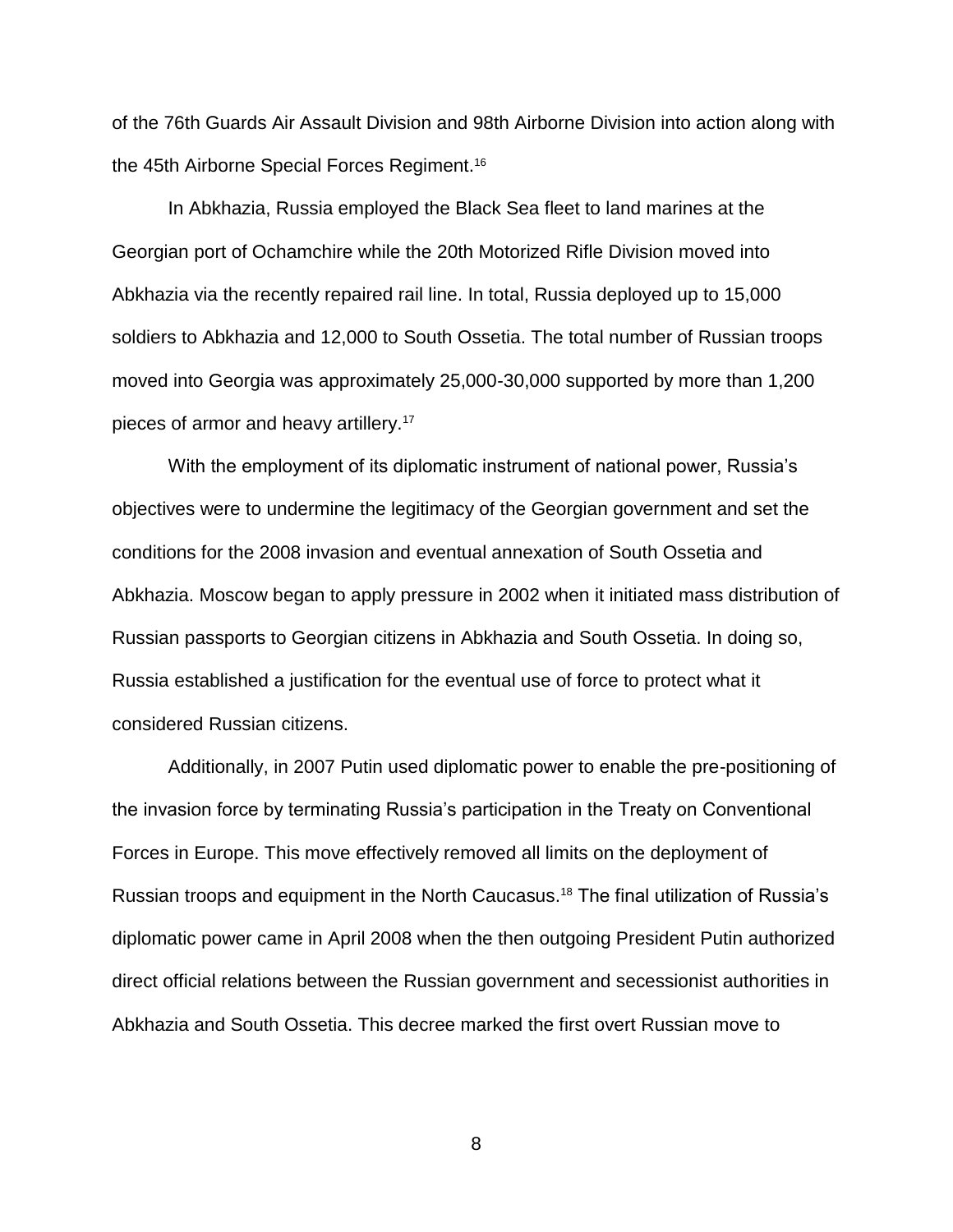of the 76th Guards Air Assault Division and 98th Airborne Division into action along with the 45th Airborne Special Forces Regiment.<sup>16</sup>

In Abkhazia, Russia employed the Black Sea fleet to land marines at the Georgian port of Ochamchire while the 20th Motorized Rifle Division moved into Abkhazia via the recently repaired rail line. In total, Russia deployed up to 15,000 soldiers to Abkhazia and 12,000 to South Ossetia. The total number of Russian troops moved into Georgia was approximately 25,000-30,000 supported by more than 1,200 pieces of armor and heavy artillery.<sup>17</sup>

With the employment of its diplomatic instrument of national power, Russia's objectives were to undermine the legitimacy of the Georgian government and set the conditions for the 2008 invasion and eventual annexation of South Ossetia and Abkhazia. Moscow began to apply pressure in 2002 when it initiated mass distribution of Russian passports to Georgian citizens in Abkhazia and South Ossetia. In doing so, Russia established a justification for the eventual use of force to protect what it considered Russian citizens.

Additionally, in 2007 Putin used diplomatic power to enable the pre-positioning of the invasion force by terminating Russia's participation in the Treaty on Conventional Forces in Europe. This move effectively removed all limits on the deployment of Russian troops and equipment in the North Caucasus.<sup>18</sup> The final utilization of Russia's diplomatic power came in April 2008 when the then outgoing President Putin authorized direct official relations between the Russian government and secessionist authorities in Abkhazia and South Ossetia. This decree marked the first overt Russian move to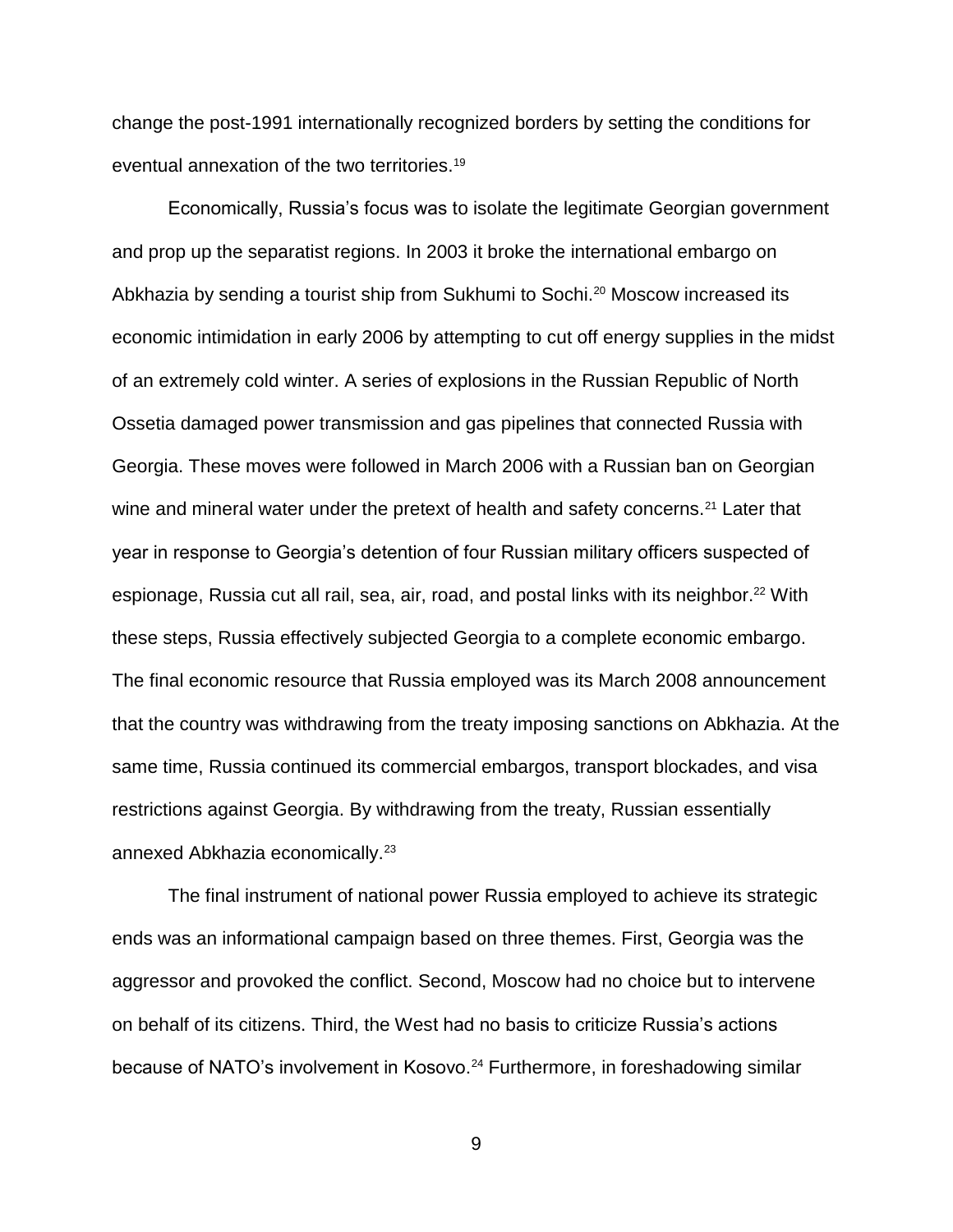change the post-1991 internationally recognized borders by setting the conditions for eventual annexation of the two territories.<sup>19</sup>

Economically, Russia's focus was to isolate the legitimate Georgian government and prop up the separatist regions. In 2003 it broke the international embargo on Abkhazia by sending a tourist ship from Sukhumi to Sochi.<sup>20</sup> Moscow increased its economic intimidation in early 2006 by attempting to cut off energy supplies in the midst of an extremely cold winter. A series of explosions in the Russian Republic of North Ossetia damaged power transmission and gas pipelines that connected Russia with Georgia. These moves were followed in March 2006 with a Russian ban on Georgian wine and mineral water under the pretext of health and safety concerns.<sup>21</sup> Later that year in response to Georgia's detention of four Russian military officers suspected of espionage, Russia cut all rail, sea, air, road, and postal links with its neighbor.<sup>22</sup> With these steps, Russia effectively subjected Georgia to a complete economic embargo. The final economic resource that Russia employed was its March 2008 announcement that the country was withdrawing from the treaty imposing sanctions on Abkhazia. At the same time, Russia continued its commercial embargos, transport blockades, and visa restrictions against Georgia. By withdrawing from the treaty, Russian essentially annexed Abkhazia economically.<sup>23</sup>

The final instrument of national power Russia employed to achieve its strategic ends was an informational campaign based on three themes. First, Georgia was the aggressor and provoked the conflict. Second, Moscow had no choice but to intervene on behalf of its citizens. Third, the West had no basis to criticize Russia's actions because of NATO's involvement in Kosovo.<sup>24</sup> Furthermore, in foreshadowing similar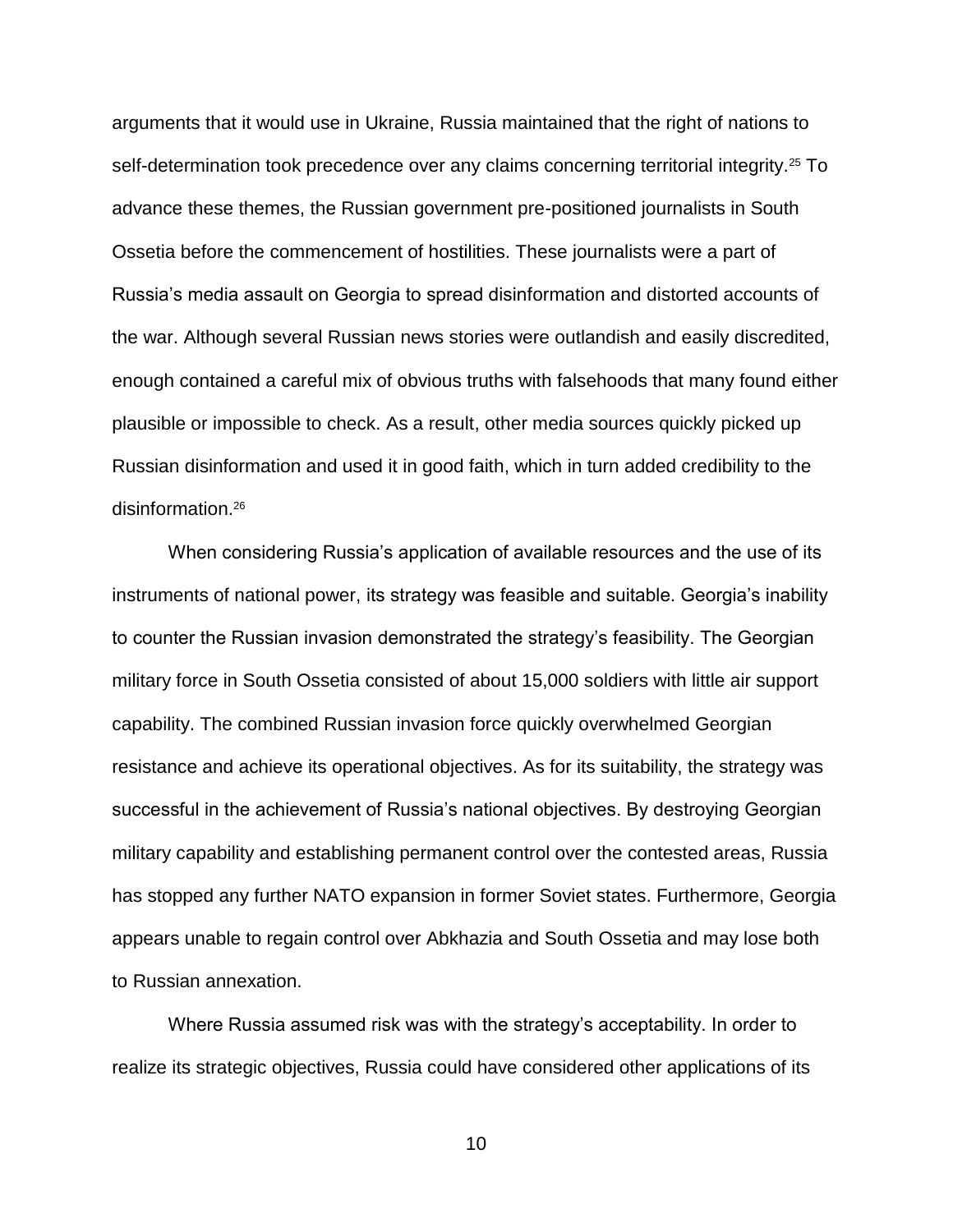arguments that it would use in Ukraine, Russia maintained that the right of nations to self-determination took precedence over any claims concerning territorial integrity.<sup>25</sup> To advance these themes, the Russian government pre-positioned journalists in South Ossetia before the commencement of hostilities. These journalists were a part of Russia's media assault on Georgia to spread disinformation and distorted accounts of the war. Although several Russian news stories were outlandish and easily discredited, enough contained a careful mix of obvious truths with falsehoods that many found either plausible or impossible to check. As a result, other media sources quickly picked up Russian disinformation and used it in good faith, which in turn added credibility to the disinformation.<sup>26</sup>

When considering Russia's application of available resources and the use of its instruments of national power, its strategy was feasible and suitable. Georgia's inability to counter the Russian invasion demonstrated the strategy's feasibility. The Georgian military force in South Ossetia consisted of about 15,000 soldiers with little air support capability. The combined Russian invasion force quickly overwhelmed Georgian resistance and achieve its operational objectives. As for its suitability, the strategy was successful in the achievement of Russia's national objectives. By destroying Georgian military capability and establishing permanent control over the contested areas, Russia has stopped any further NATO expansion in former Soviet states. Furthermore, Georgia appears unable to regain control over Abkhazia and South Ossetia and may lose both to Russian annexation.

Where Russia assumed risk was with the strategy's acceptability. In order to realize its strategic objectives, Russia could have considered other applications of its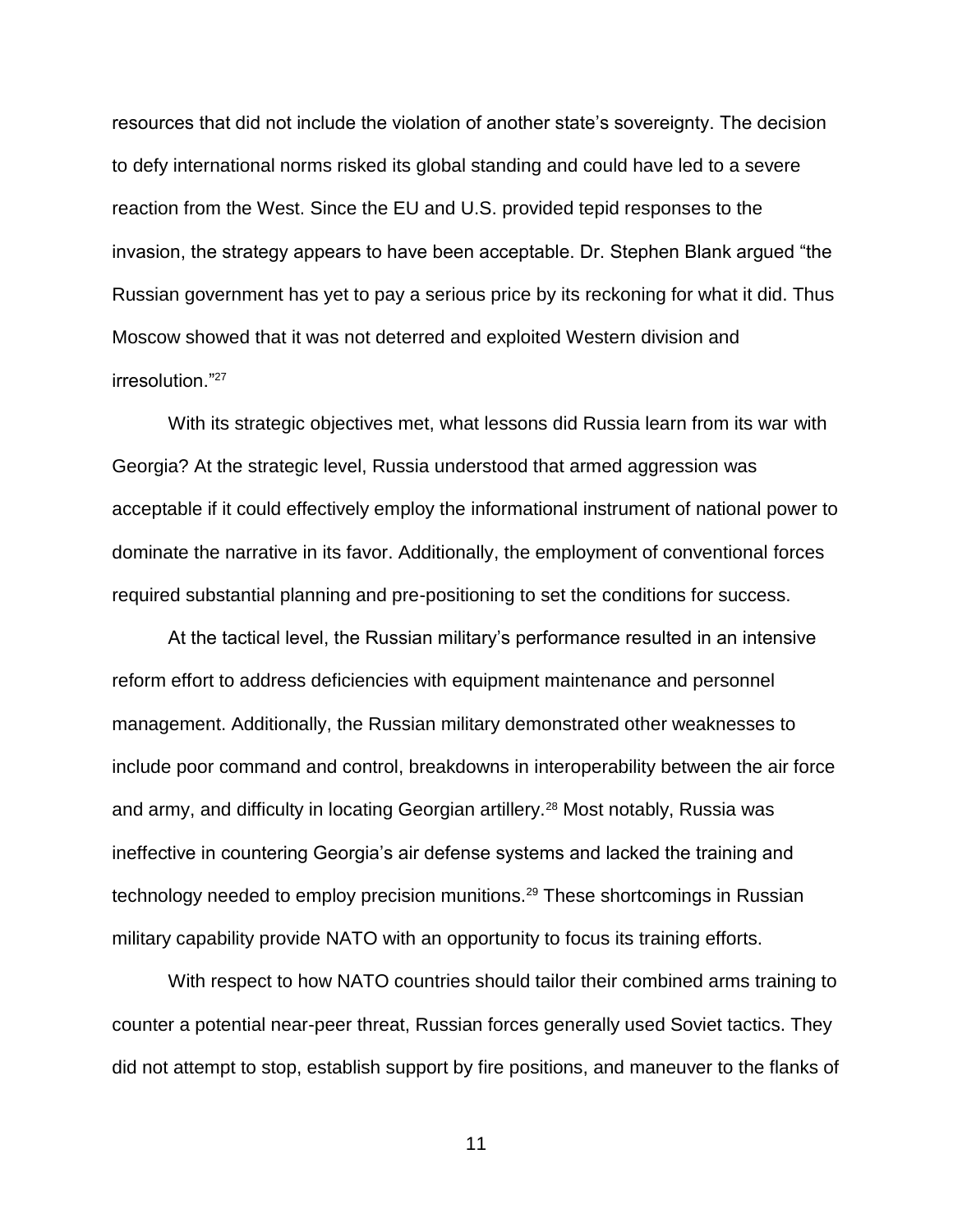resources that did not include the violation of another state's sovereignty. The decision to defy international norms risked its global standing and could have led to a severe reaction from the West. Since the EU and U.S. provided tepid responses to the invasion, the strategy appears to have been acceptable. Dr. Stephen Blank argued "the Russian government has yet to pay a serious price by its reckoning for what it did. Thus Moscow showed that it was not deterred and exploited Western division and irresolution."<sup>27</sup>

With its strategic objectives met, what lessons did Russia learn from its war with Georgia? At the strategic level, Russia understood that armed aggression was acceptable if it could effectively employ the informational instrument of national power to dominate the narrative in its favor. Additionally, the employment of conventional forces required substantial planning and pre-positioning to set the conditions for success.

At the tactical level, the Russian military's performance resulted in an intensive reform effort to address deficiencies with equipment maintenance and personnel management. Additionally, the Russian military demonstrated other weaknesses to include poor command and control, breakdowns in interoperability between the air force and army, and difficulty in locating Georgian artillery.<sup>28</sup> Most notably, Russia was ineffective in countering Georgia's air defense systems and lacked the training and technology needed to employ precision munitions.<sup>29</sup> These shortcomings in Russian military capability provide NATO with an opportunity to focus its training efforts.

With respect to how NATO countries should tailor their combined arms training to counter a potential near-peer threat, Russian forces generally used Soviet tactics. They did not attempt to stop, establish support by fire positions, and maneuver to the flanks of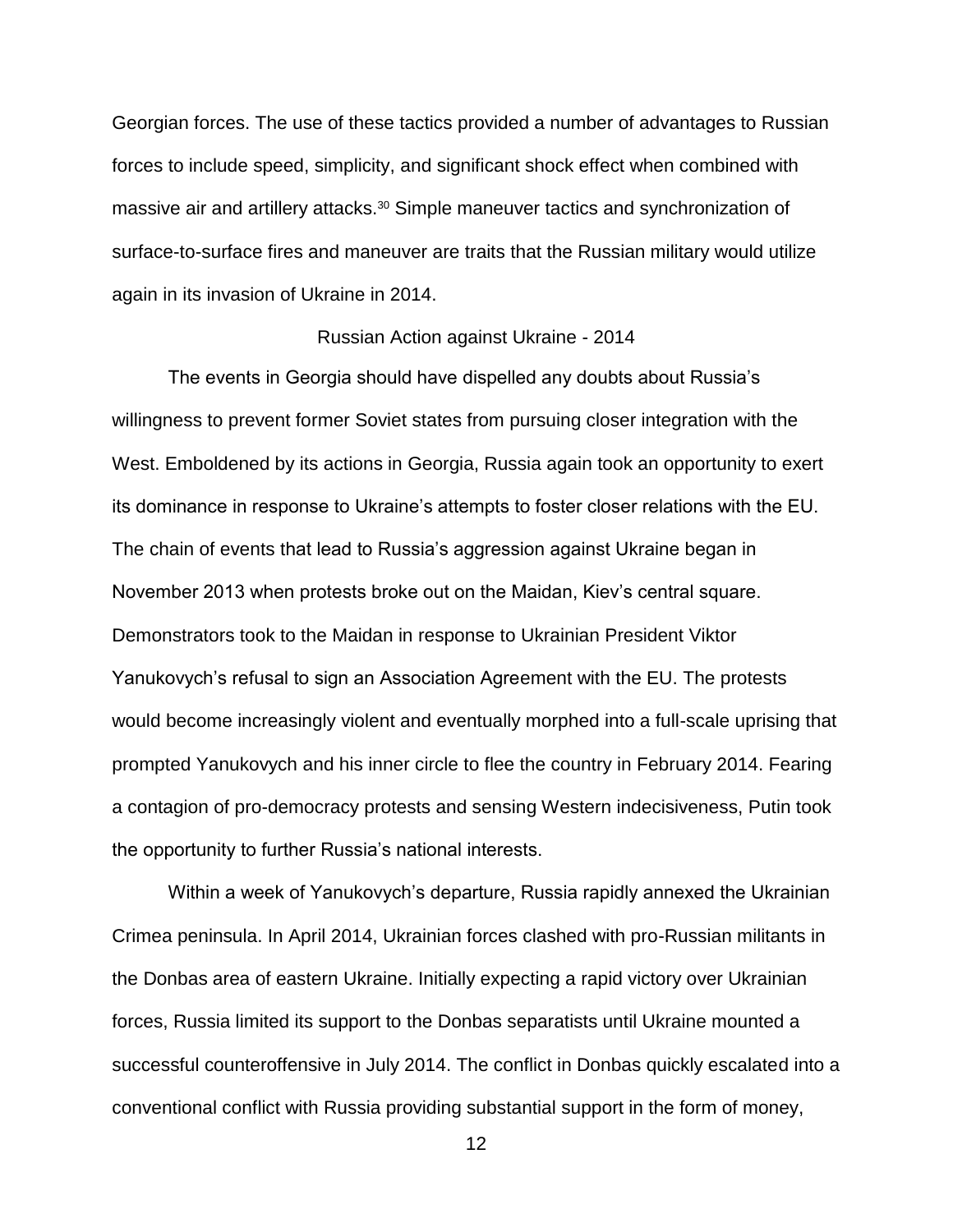Georgian forces. The use of these tactics provided a number of advantages to Russian forces to include speed, simplicity, and significant shock effect when combined with massive air and artillery attacks.<sup>30</sup> Simple maneuver tactics and synchronization of surface-to-surface fires and maneuver are traits that the Russian military would utilize again in its invasion of Ukraine in 2014.

### Russian Action against Ukraine - 2014

The events in Georgia should have dispelled any doubts about Russia's willingness to prevent former Soviet states from pursuing closer integration with the West. Emboldened by its actions in Georgia, Russia again took an opportunity to exert its dominance in response to Ukraine's attempts to foster closer relations with the EU. The chain of events that lead to Russia's aggression against Ukraine began in November 2013 when protests broke out on the Maidan, Kiev's central square. Demonstrators took to the Maidan in response to Ukrainian President Viktor Yanukovych's refusal to sign an Association Agreement with the EU. The protests would become increasingly violent and eventually morphed into a full-scale uprising that prompted Yanukovych and his inner circle to flee the country in February 2014. Fearing a contagion of pro-democracy protests and sensing Western indecisiveness, Putin took the opportunity to further Russia's national interests.

Within a week of Yanukovych's departure, Russia rapidly annexed the Ukrainian Crimea peninsula. In April 2014, Ukrainian forces clashed with pro-Russian militants in the Donbas area of eastern Ukraine. Initially expecting a rapid victory over Ukrainian forces, Russia limited its support to the Donbas separatists until Ukraine mounted a successful counteroffensive in July 2014. The conflict in Donbas quickly escalated into a conventional conflict with Russia providing substantial support in the form of money,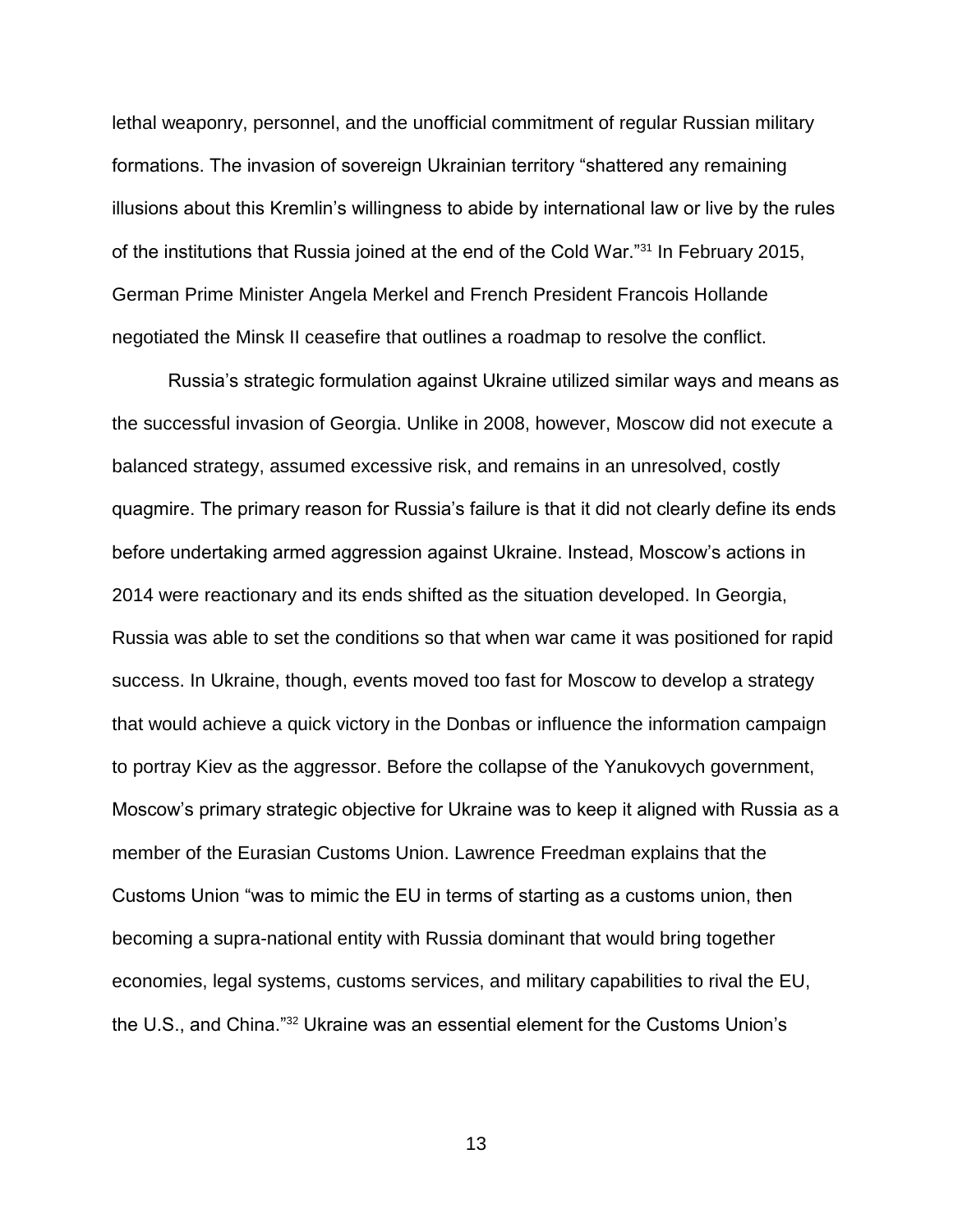lethal weaponry, personnel, and the unofficial commitment of regular Russian military formations. The invasion of sovereign Ukrainian territory "shattered any remaining illusions about this Kremlin's willingness to abide by international law or live by the rules of the institutions that Russia joined at the end of the Cold War."<sup>31</sup> In February 2015, German Prime Minister Angela Merkel and French President Francois Hollande negotiated the Minsk II ceasefire that outlines a roadmap to resolve the conflict.

Russia's strategic formulation against Ukraine utilized similar ways and means as the successful invasion of Georgia. Unlike in 2008, however, Moscow did not execute a balanced strategy, assumed excessive risk, and remains in an unresolved, costly quagmire. The primary reason for Russia's failure is that it did not clearly define its ends before undertaking armed aggression against Ukraine. Instead, Moscow's actions in 2014 were reactionary and its ends shifted as the situation developed. In Georgia, Russia was able to set the conditions so that when war came it was positioned for rapid success. In Ukraine, though, events moved too fast for Moscow to develop a strategy that would achieve a quick victory in the Donbas or influence the information campaign to portray Kiev as the aggressor. Before the collapse of the Yanukovych government, Moscow's primary strategic objective for Ukraine was to keep it aligned with Russia as a member of the Eurasian Customs Union. Lawrence Freedman explains that the Customs Union "was to mimic the EU in terms of starting as a customs union, then becoming a supra-national entity with Russia dominant that would bring together economies, legal systems, customs services, and military capabilities to rival the EU, the U.S., and China."<sup>32</sup> Ukraine was an essential element for the Customs Union's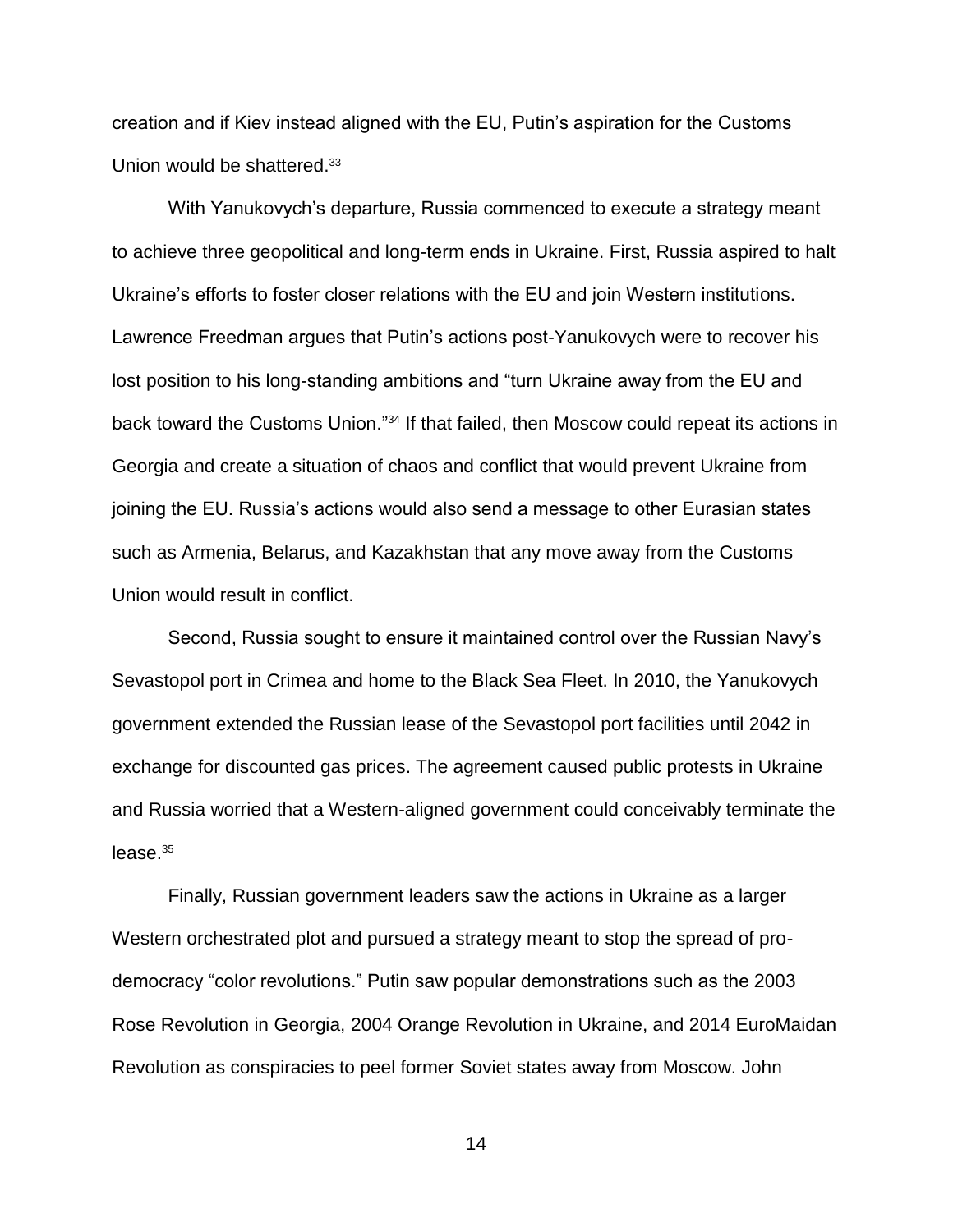creation and if Kiev instead aligned with the EU, Putin's aspiration for the Customs Union would be shattered.<sup>33</sup>

With Yanukovych's departure, Russia commenced to execute a strategy meant to achieve three geopolitical and long-term ends in Ukraine. First, Russia aspired to halt Ukraine's efforts to foster closer relations with the EU and join Western institutions. Lawrence Freedman argues that Putin's actions post-Yanukovych were to recover his lost position to his long-standing ambitions and "turn Ukraine away from the EU and back toward the Customs Union."<sup>34</sup> If that failed, then Moscow could repeat its actions in Georgia and create a situation of chaos and conflict that would prevent Ukraine from joining the EU. Russia's actions would also send a message to other Eurasian states such as Armenia, Belarus, and Kazakhstan that any move away from the Customs Union would result in conflict.

Second, Russia sought to ensure it maintained control over the Russian Navy's Sevastopol port in Crimea and home to the Black Sea Fleet. In 2010, the Yanukovych government extended the Russian lease of the Sevastopol port facilities until 2042 in exchange for discounted gas prices. The agreement caused public protests in Ukraine and Russia worried that a Western-aligned government could conceivably terminate the  $lease.<sup>35</sup>$ 

Finally, Russian government leaders saw the actions in Ukraine as a larger Western orchestrated plot and pursued a strategy meant to stop the spread of prodemocracy "color revolutions." Putin saw popular demonstrations such as the 2003 Rose Revolution in Georgia, 2004 Orange Revolution in Ukraine, and 2014 EuroMaidan Revolution as conspiracies to peel former Soviet states away from Moscow. John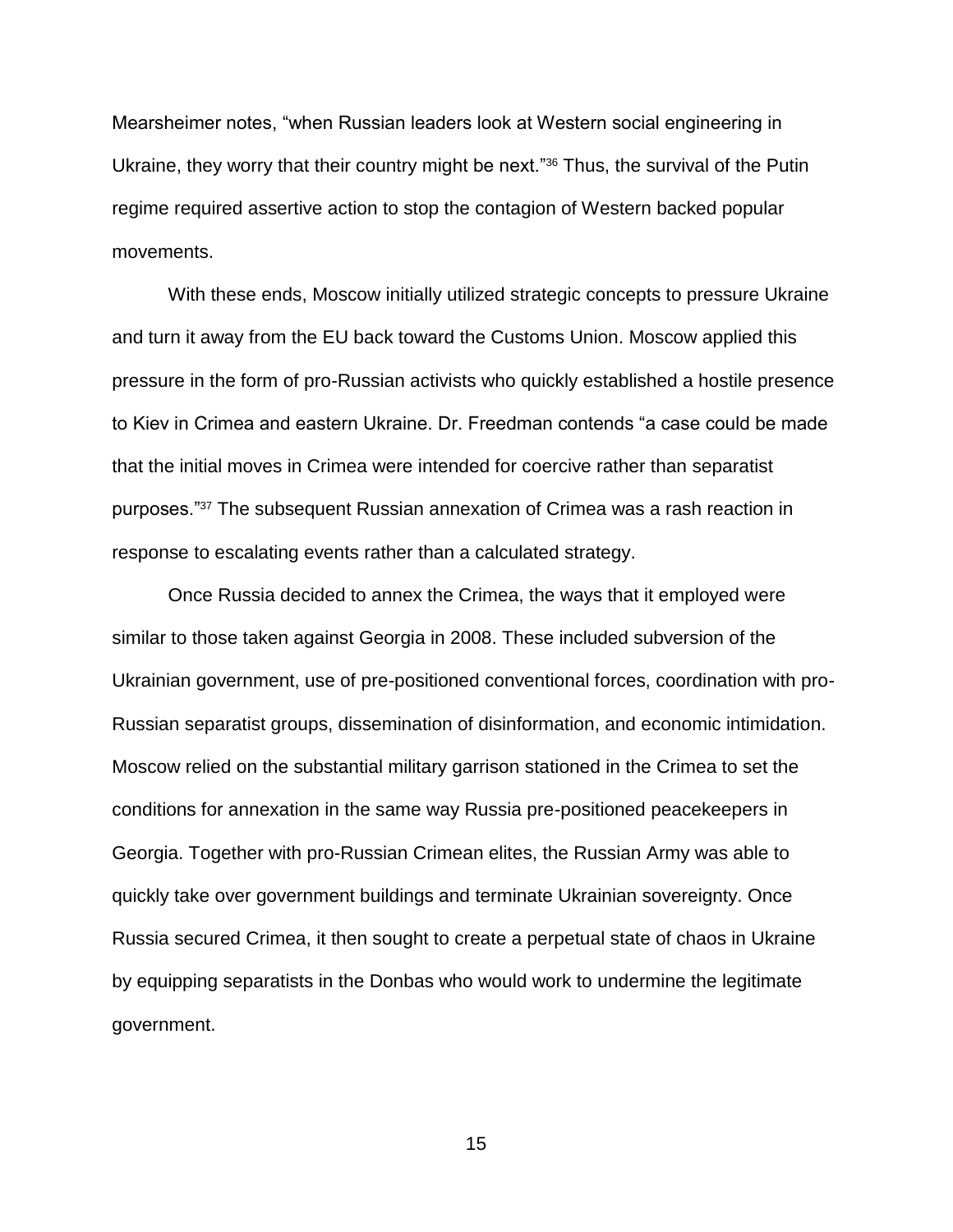Mearsheimer notes, "when Russian leaders look at Western social engineering in Ukraine, they worry that their country might be next."<sup>36</sup> Thus, the survival of the Putin regime required assertive action to stop the contagion of Western backed popular movements.

With these ends, Moscow initially utilized strategic concepts to pressure Ukraine and turn it away from the EU back toward the Customs Union. Moscow applied this pressure in the form of pro-Russian activists who quickly established a hostile presence to Kiev in Crimea and eastern Ukraine. Dr. Freedman contends "a case could be made that the initial moves in Crimea were intended for coercive rather than separatist purposes."<sup>37</sup> The subsequent Russian annexation of Crimea was a rash reaction in response to escalating events rather than a calculated strategy.

Once Russia decided to annex the Crimea, the ways that it employed were similar to those taken against Georgia in 2008. These included subversion of the Ukrainian government, use of pre-positioned conventional forces, coordination with pro-Russian separatist groups, dissemination of disinformation, and economic intimidation. Moscow relied on the substantial military garrison stationed in the Crimea to set the conditions for annexation in the same way Russia pre-positioned peacekeepers in Georgia. Together with pro-Russian Crimean elites, the Russian Army was able to quickly take over government buildings and terminate Ukrainian sovereignty. Once Russia secured Crimea, it then sought to create a perpetual state of chaos in Ukraine by equipping separatists in the Donbas who would work to undermine the legitimate government.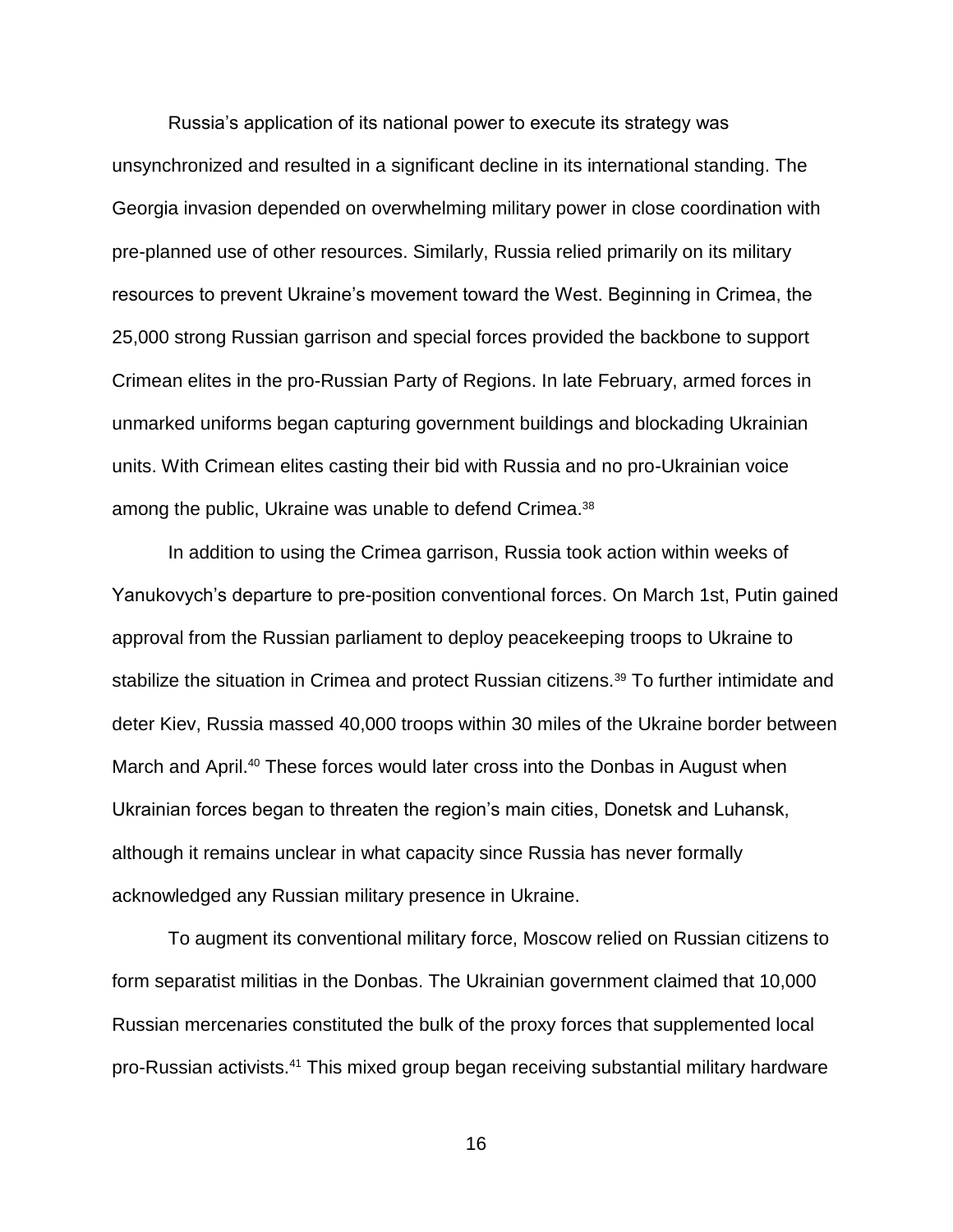Russia's application of its national power to execute its strategy was unsynchronized and resulted in a significant decline in its international standing. The Georgia invasion depended on overwhelming military power in close coordination with pre-planned use of other resources. Similarly, Russia relied primarily on its military resources to prevent Ukraine's movement toward the West. Beginning in Crimea, the 25,000 strong Russian garrison and special forces provided the backbone to support Crimean elites in the pro-Russian Party of Regions. In late February, armed forces in unmarked uniforms began capturing government buildings and blockading Ukrainian units. With Crimean elites casting their bid with Russia and no pro-Ukrainian voice among the public, Ukraine was unable to defend Crimea.<sup>38</sup>

In addition to using the Crimea garrison, Russia took action within weeks of Yanukovych's departure to pre-position conventional forces. On March 1st, Putin gained approval from the Russian parliament to deploy peacekeeping troops to Ukraine to stabilize the situation in Crimea and protect Russian citizens.<sup>39</sup> To further intimidate and deter Kiev, Russia massed 40,000 troops within 30 miles of the Ukraine border between March and April.<sup>40</sup> These forces would later cross into the Donbas in August when Ukrainian forces began to threaten the region's main cities, Donetsk and Luhansk, although it remains unclear in what capacity since Russia has never formally acknowledged any Russian military presence in Ukraine.

To augment its conventional military force, Moscow relied on Russian citizens to form separatist militias in the Donbas. The Ukrainian government claimed that 10,000 Russian mercenaries constituted the bulk of the proxy forces that supplemented local pro-Russian activists.<sup>41</sup> This mixed group began receiving substantial military hardware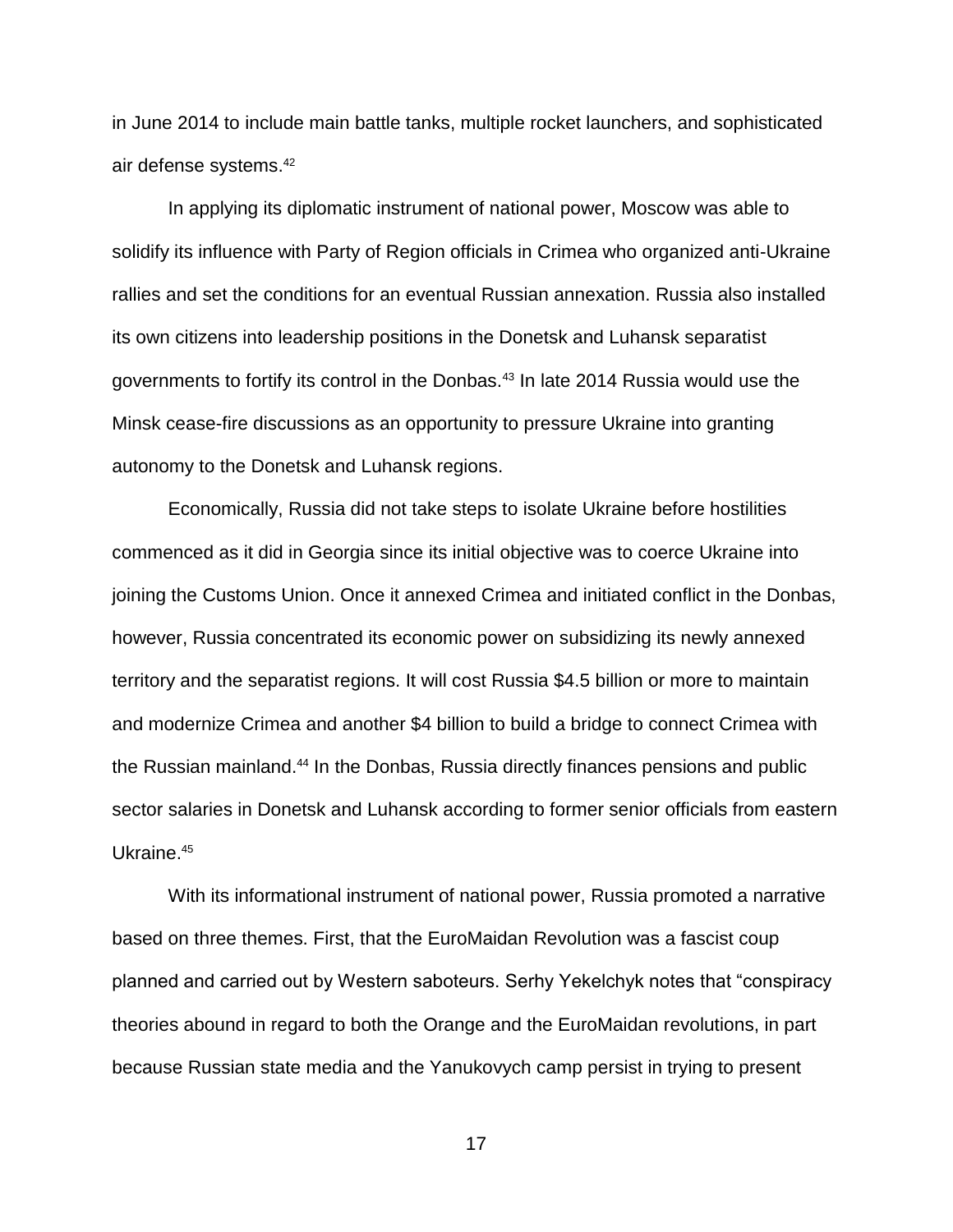in June 2014 to include main battle tanks, multiple rocket launchers, and sophisticated air defense systems.<sup>42</sup>

In applying its diplomatic instrument of national power, Moscow was able to solidify its influence with Party of Region officials in Crimea who organized anti-Ukraine rallies and set the conditions for an eventual Russian annexation. Russia also installed its own citizens into leadership positions in the Donetsk and Luhansk separatist governments to fortify its control in the Donbas.<sup>43</sup> In late 2014 Russia would use the Minsk cease-fire discussions as an opportunity to pressure Ukraine into granting autonomy to the Donetsk and Luhansk regions.

Economically, Russia did not take steps to isolate Ukraine before hostilities commenced as it did in Georgia since its initial objective was to coerce Ukraine into joining the Customs Union. Once it annexed Crimea and initiated conflict in the Donbas, however, Russia concentrated its economic power on subsidizing its newly annexed territory and the separatist regions. It will cost Russia \$4.5 billion or more to maintain and modernize Crimea and another \$4 billion to build a bridge to connect Crimea with the Russian mainland.<sup>44</sup> In the Donbas, Russia directly finances pensions and public sector salaries in Donetsk and Luhansk according to former senior officials from eastern Ukraine.<sup>45</sup>

With its informational instrument of national power, Russia promoted a narrative based on three themes. First, that the EuroMaidan Revolution was a fascist coup planned and carried out by Western saboteurs. Serhy Yekelchyk notes that "conspiracy theories abound in regard to both the Orange and the EuroMaidan revolutions, in part because Russian state media and the Yanukovych camp persist in trying to present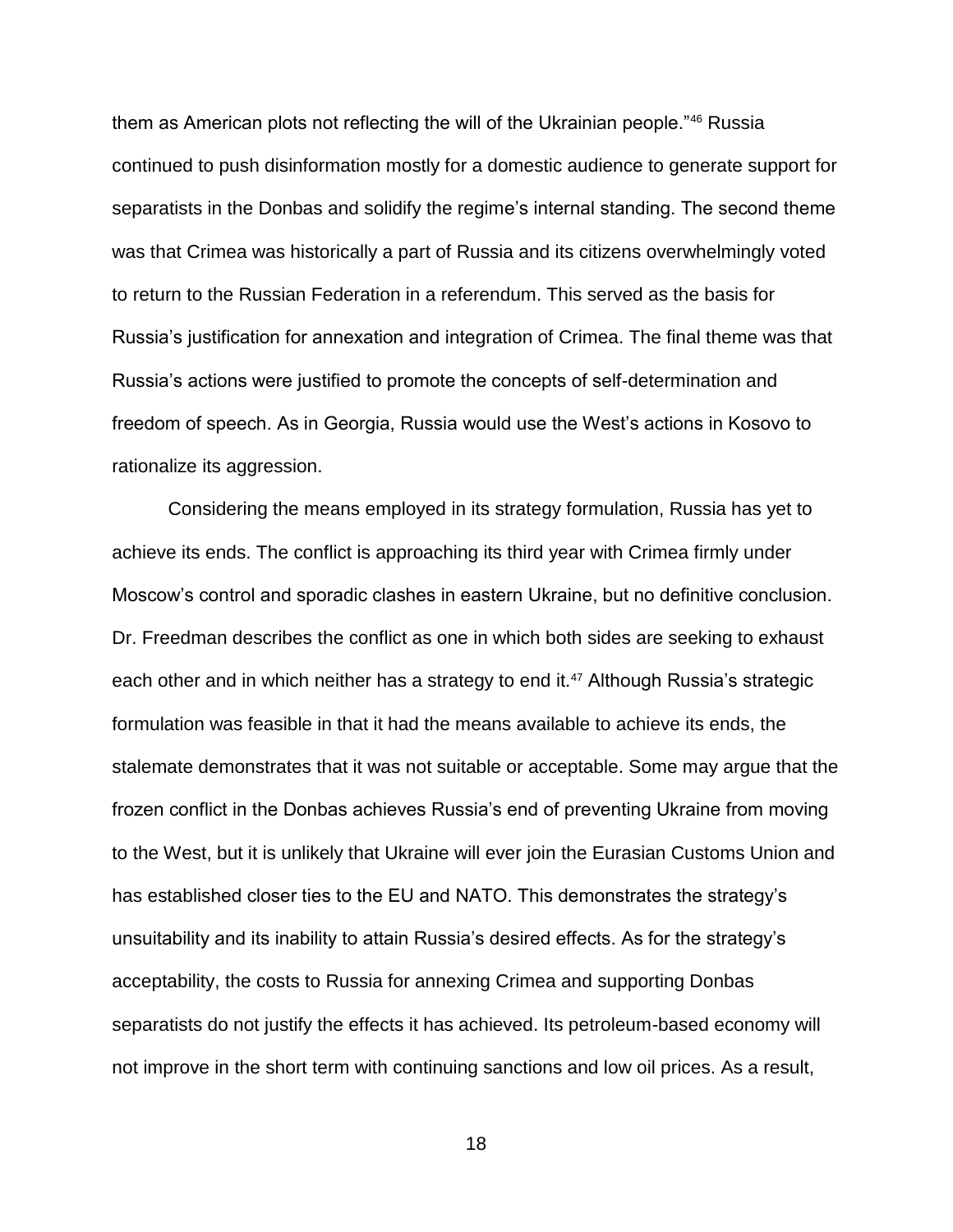them as American plots not reflecting the will of the Ukrainian people."<sup>46</sup> Russia continued to push disinformation mostly for a domestic audience to generate support for separatists in the Donbas and solidify the regime's internal standing. The second theme was that Crimea was historically a part of Russia and its citizens overwhelmingly voted to return to the Russian Federation in a referendum. This served as the basis for Russia's justification for annexation and integration of Crimea. The final theme was that Russia's actions were justified to promote the concepts of self-determination and freedom of speech. As in Georgia, Russia would use the West's actions in Kosovo to rationalize its aggression.

Considering the means employed in its strategy formulation, Russia has yet to achieve its ends. The conflict is approaching its third year with Crimea firmly under Moscow's control and sporadic clashes in eastern Ukraine, but no definitive conclusion. Dr. Freedman describes the conflict as one in which both sides are seeking to exhaust each other and in which neither has a strategy to end it.<sup>47</sup> Although Russia's strategic formulation was feasible in that it had the means available to achieve its ends, the stalemate demonstrates that it was not suitable or acceptable. Some may argue that the frozen conflict in the Donbas achieves Russia's end of preventing Ukraine from moving to the West, but it is unlikely that Ukraine will ever join the Eurasian Customs Union and has established closer ties to the EU and NATO. This demonstrates the strategy's unsuitability and its inability to attain Russia's desired effects. As for the strategy's acceptability, the costs to Russia for annexing Crimea and supporting Donbas separatists do not justify the effects it has achieved. Its petroleum-based economy will not improve in the short term with continuing sanctions and low oil prices. As a result,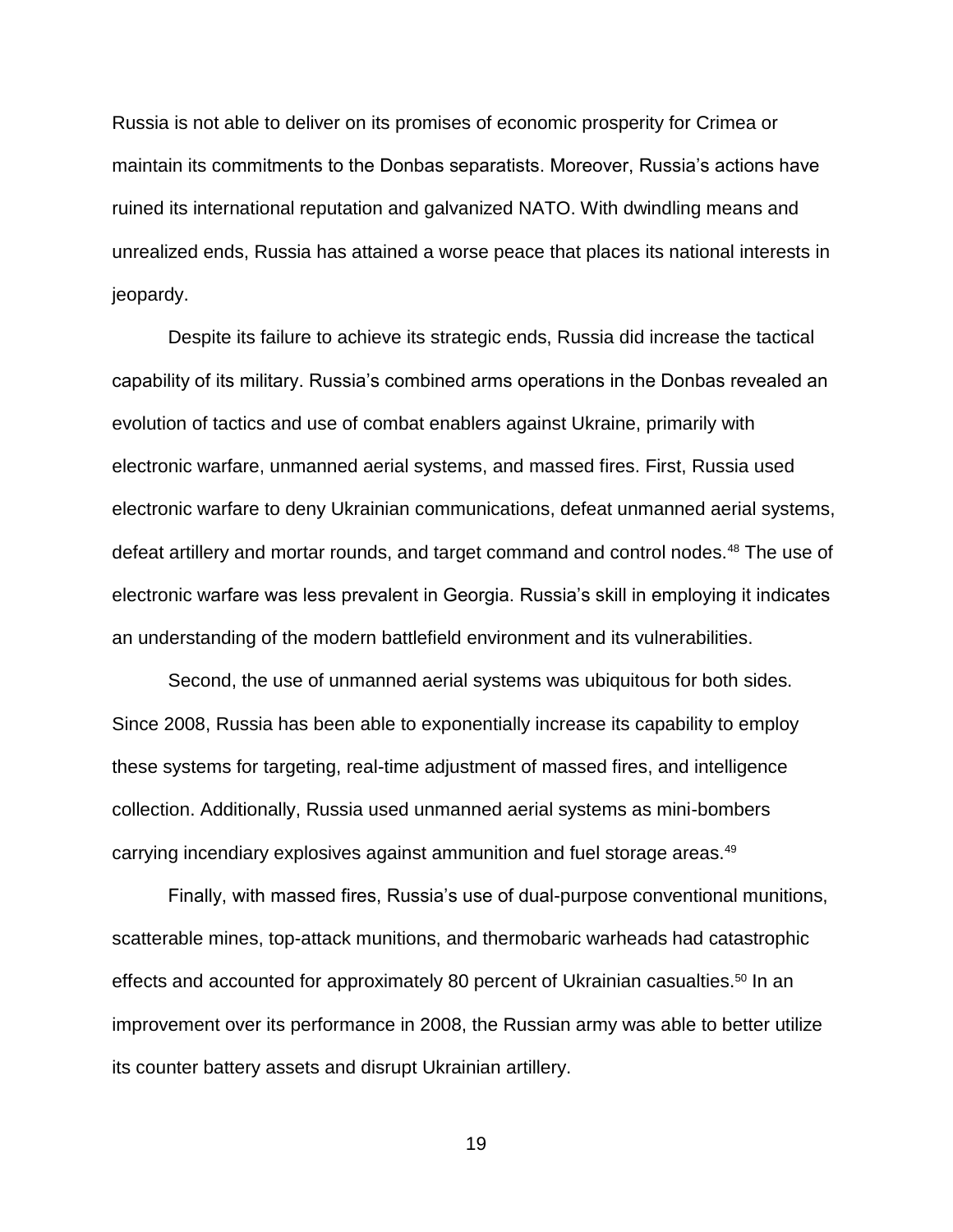Russia is not able to deliver on its promises of economic prosperity for Crimea or maintain its commitments to the Donbas separatists. Moreover, Russia's actions have ruined its international reputation and galvanized NATO. With dwindling means and unrealized ends, Russia has attained a worse peace that places its national interests in jeopardy.

Despite its failure to achieve its strategic ends, Russia did increase the tactical capability of its military. Russia's combined arms operations in the Donbas revealed an evolution of tactics and use of combat enablers against Ukraine, primarily with electronic warfare, unmanned aerial systems, and massed fires. First, Russia used electronic warfare to deny Ukrainian communications, defeat unmanned aerial systems, defeat artillery and mortar rounds, and target command and control nodes.<sup>48</sup> The use of electronic warfare was less prevalent in Georgia. Russia's skill in employing it indicates an understanding of the modern battlefield environment and its vulnerabilities.

Second, the use of unmanned aerial systems was ubiquitous for both sides. Since 2008, Russia has been able to exponentially increase its capability to employ these systems for targeting, real-time adjustment of massed fires, and intelligence collection. Additionally, Russia used unmanned aerial systems as mini-bombers carrying incendiary explosives against ammunition and fuel storage areas.<sup>49</sup>

Finally, with massed fires, Russia's use of dual-purpose conventional munitions, scatterable mines, top-attack munitions, and thermobaric warheads had catastrophic effects and accounted for approximately 80 percent of Ukrainian casualties.<sup>50</sup> In an improvement over its performance in 2008, the Russian army was able to better utilize its counter battery assets and disrupt Ukrainian artillery.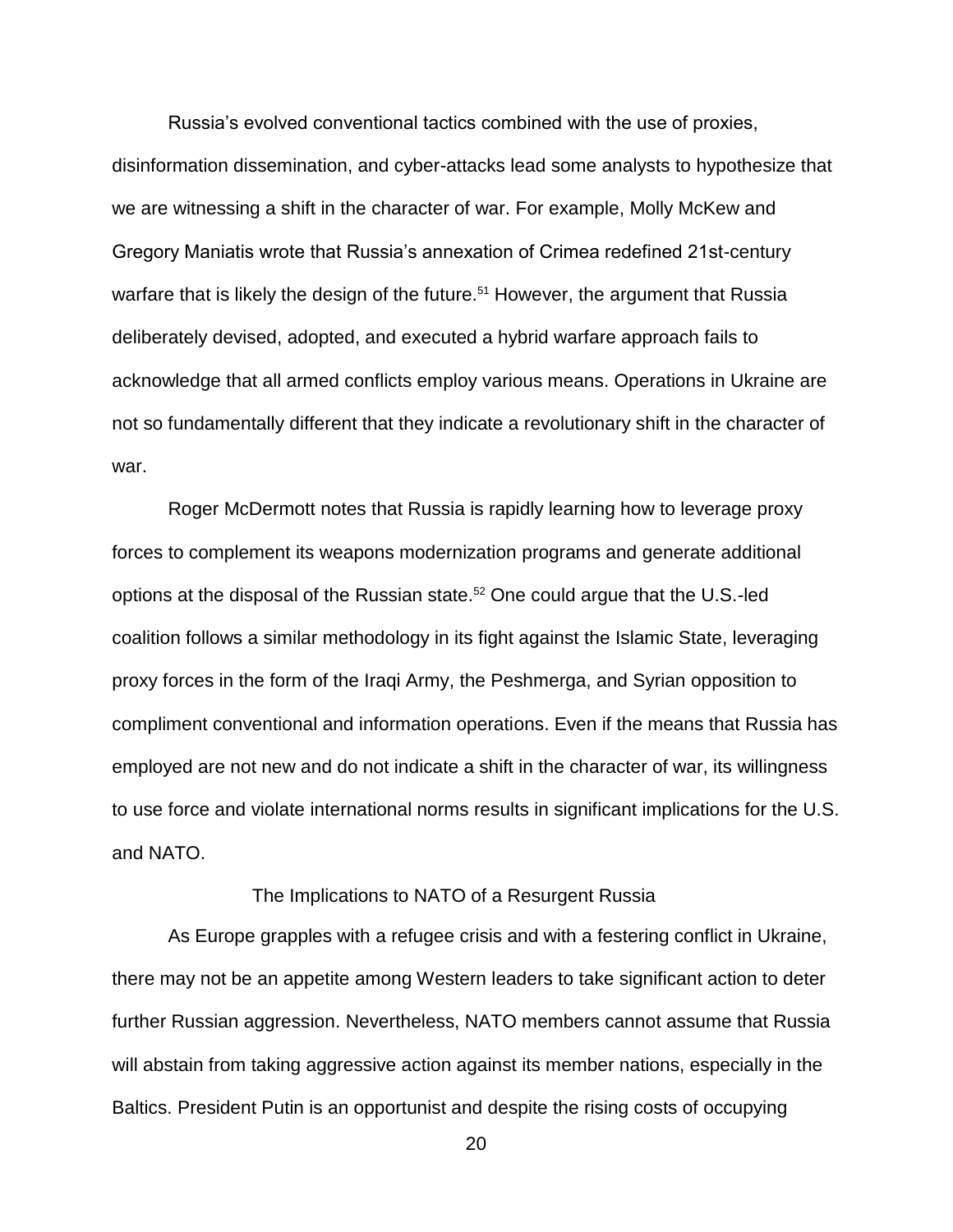Russia's evolved conventional tactics combined with the use of proxies, disinformation dissemination, and cyber-attacks lead some analysts to hypothesize that we are witnessing a shift in the character of war. For example, Molly McKew and Gregory Maniatis wrote that Russia's annexation of Crimea redefined 21st-century warfare that is likely the design of the future.<sup>51</sup> However, the argument that Russia deliberately devised, adopted, and executed a hybrid warfare approach fails to acknowledge that all armed conflicts employ various means. Operations in Ukraine are not so fundamentally different that they indicate a revolutionary shift in the character of war.

Roger McDermott notes that Russia is rapidly learning how to leverage proxy forces to complement its weapons modernization programs and generate additional options at the disposal of the Russian state.<sup>52</sup> One could argue that the U.S.-led coalition follows a similar methodology in its fight against the Islamic State, leveraging proxy forces in the form of the Iraqi Army, the Peshmerga, and Syrian opposition to compliment conventional and information operations. Even if the means that Russia has employed are not new and do not indicate a shift in the character of war, its willingness to use force and violate international norms results in significant implications for the U.S. and NATO.

### The Implications to NATO of a Resurgent Russia

As Europe grapples with a refugee crisis and with a festering conflict in Ukraine, there may not be an appetite among Western leaders to take significant action to deter further Russian aggression. Nevertheless, NATO members cannot assume that Russia will abstain from taking aggressive action against its member nations, especially in the Baltics. President Putin is an opportunist and despite the rising costs of occupying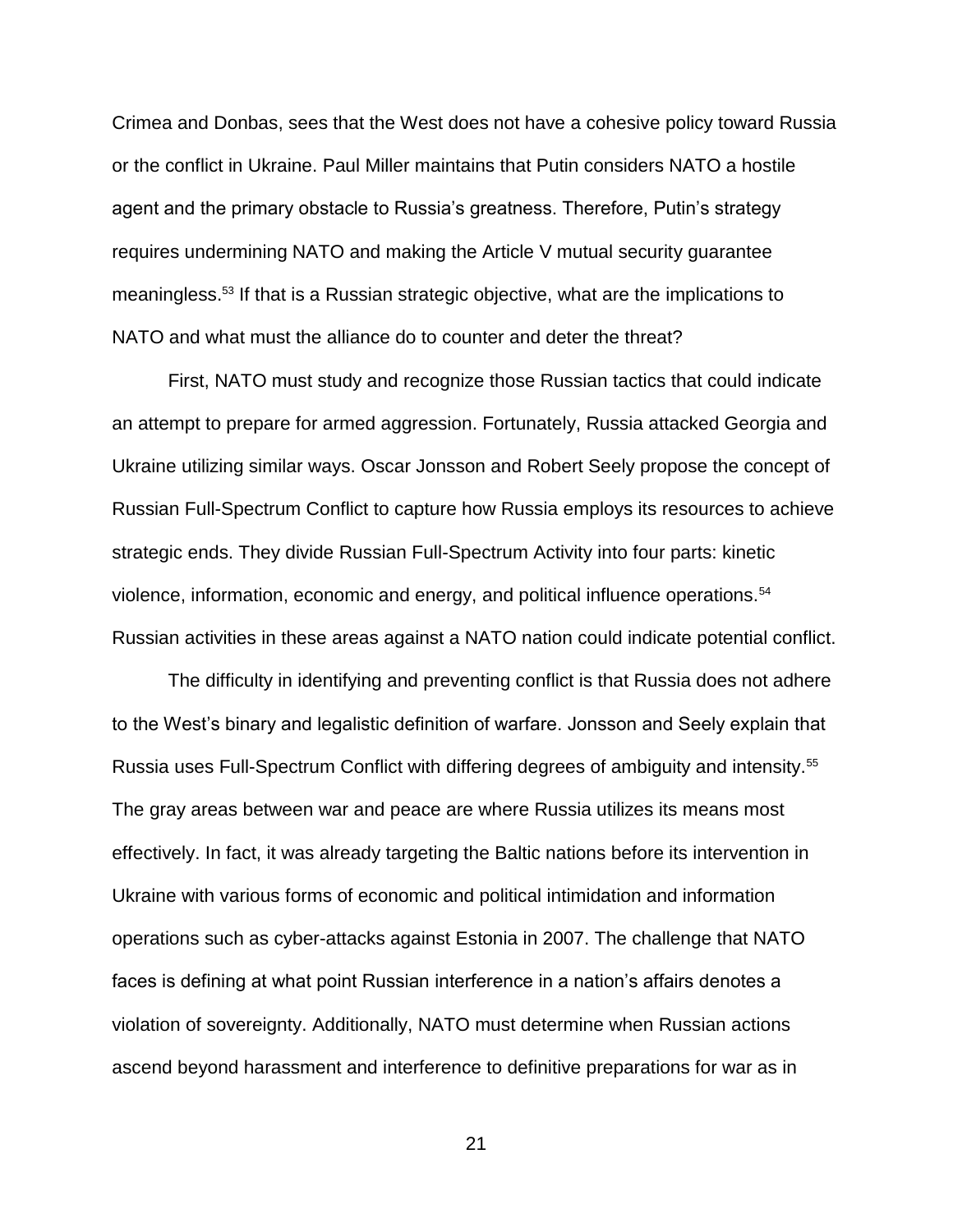Crimea and Donbas, sees that the West does not have a cohesive policy toward Russia or the conflict in Ukraine. Paul Miller maintains that Putin considers NATO a hostile agent and the primary obstacle to Russia's greatness. Therefore, Putin's strategy requires undermining NATO and making the Article V mutual security guarantee meaningless.<sup>53</sup> If that is a Russian strategic objective, what are the implications to NATO and what must the alliance do to counter and deter the threat?

First, NATO must study and recognize those Russian tactics that could indicate an attempt to prepare for armed aggression. Fortunately, Russia attacked Georgia and Ukraine utilizing similar ways. Oscar Jonsson and Robert Seely propose the concept of Russian Full-Spectrum Conflict to capture how Russia employs its resources to achieve strategic ends. They divide Russian Full-Spectrum Activity into four parts: kinetic violence, information, economic and energy, and political influence operations.<sup>54</sup> Russian activities in these areas against a NATO nation could indicate potential conflict.

The difficulty in identifying and preventing conflict is that Russia does not adhere to the West's binary and legalistic definition of warfare. Jonsson and Seely explain that Russia uses Full-Spectrum Conflict with differing degrees of ambiguity and intensity.<sup>55</sup> The gray areas between war and peace are where Russia utilizes its means most effectively. In fact, it was already targeting the Baltic nations before its intervention in Ukraine with various forms of economic and political intimidation and information operations such as cyber-attacks against Estonia in 2007. The challenge that NATO faces is defining at what point Russian interference in a nation's affairs denotes a violation of sovereignty. Additionally, NATO must determine when Russian actions ascend beyond harassment and interference to definitive preparations for war as in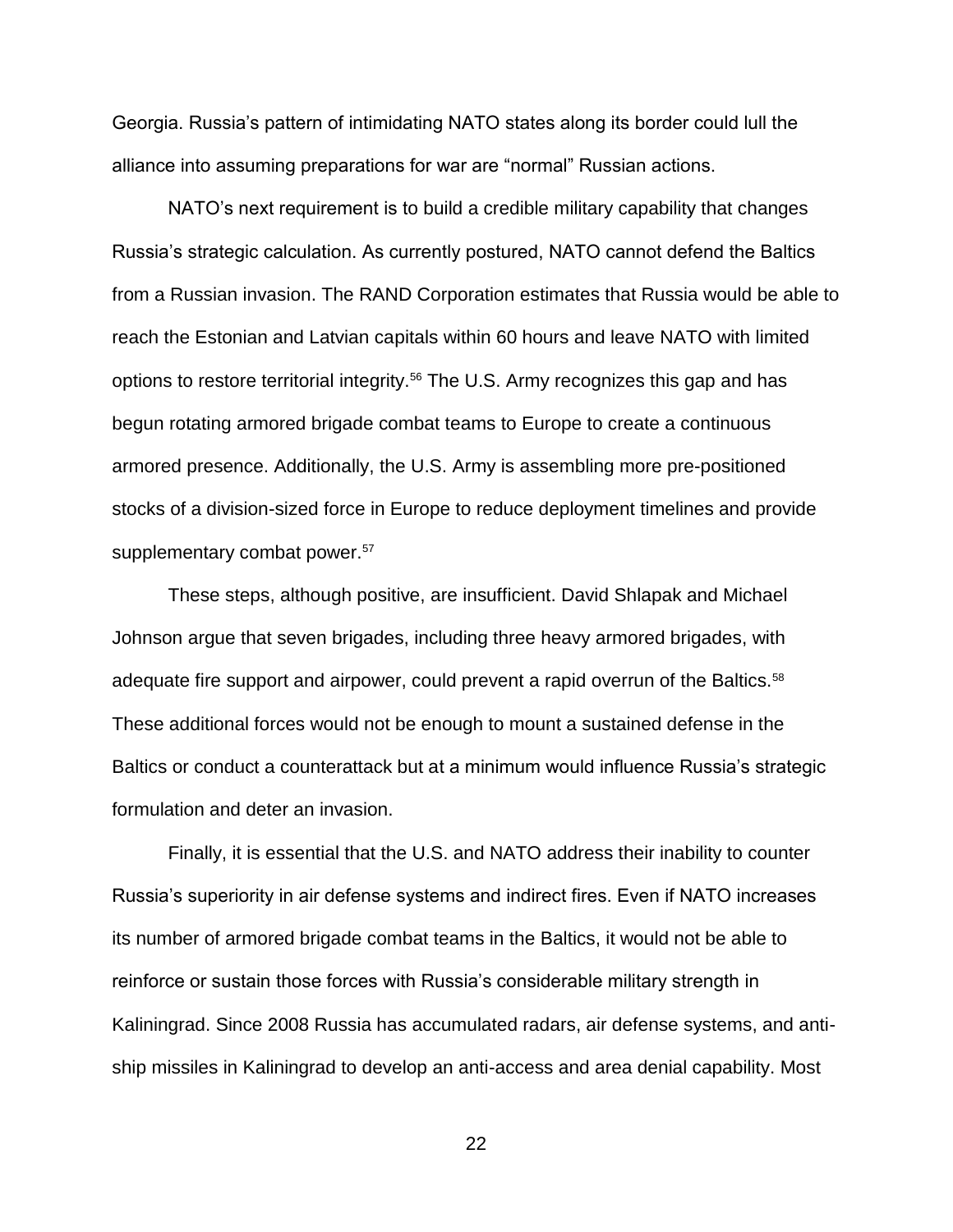Georgia. Russia's pattern of intimidating NATO states along its border could lull the alliance into assuming preparations for war are "normal" Russian actions.

NATO's next requirement is to build a credible military capability that changes Russia's strategic calculation. As currently postured, NATO cannot defend the Baltics from a Russian invasion. The RAND Corporation estimates that Russia would be able to reach the Estonian and Latvian capitals within 60 hours and leave NATO with limited options to restore territorial integrity.<sup>56</sup> The U.S. Army recognizes this gap and has begun rotating armored brigade combat teams to Europe to create a continuous armored presence. Additionally, the U.S. Army is assembling more pre-positioned stocks of a division-sized force in Europe to reduce deployment timelines and provide supplementary combat power.<sup>57</sup>

These steps, although positive, are insufficient. David Shlapak and Michael Johnson argue that seven brigades, including three heavy armored brigades, with adequate fire support and airpower, could prevent a rapid overrun of the Baltics.<sup>58</sup> These additional forces would not be enough to mount a sustained defense in the Baltics or conduct a counterattack but at a minimum would influence Russia's strategic formulation and deter an invasion.

Finally, it is essential that the U.S. and NATO address their inability to counter Russia's superiority in air defense systems and indirect fires. Even if NATO increases its number of armored brigade combat teams in the Baltics, it would not be able to reinforce or sustain those forces with Russia's considerable military strength in Kaliningrad. Since 2008 Russia has accumulated radars, air defense systems, and antiship missiles in Kaliningrad to develop an anti-access and area denial capability. Most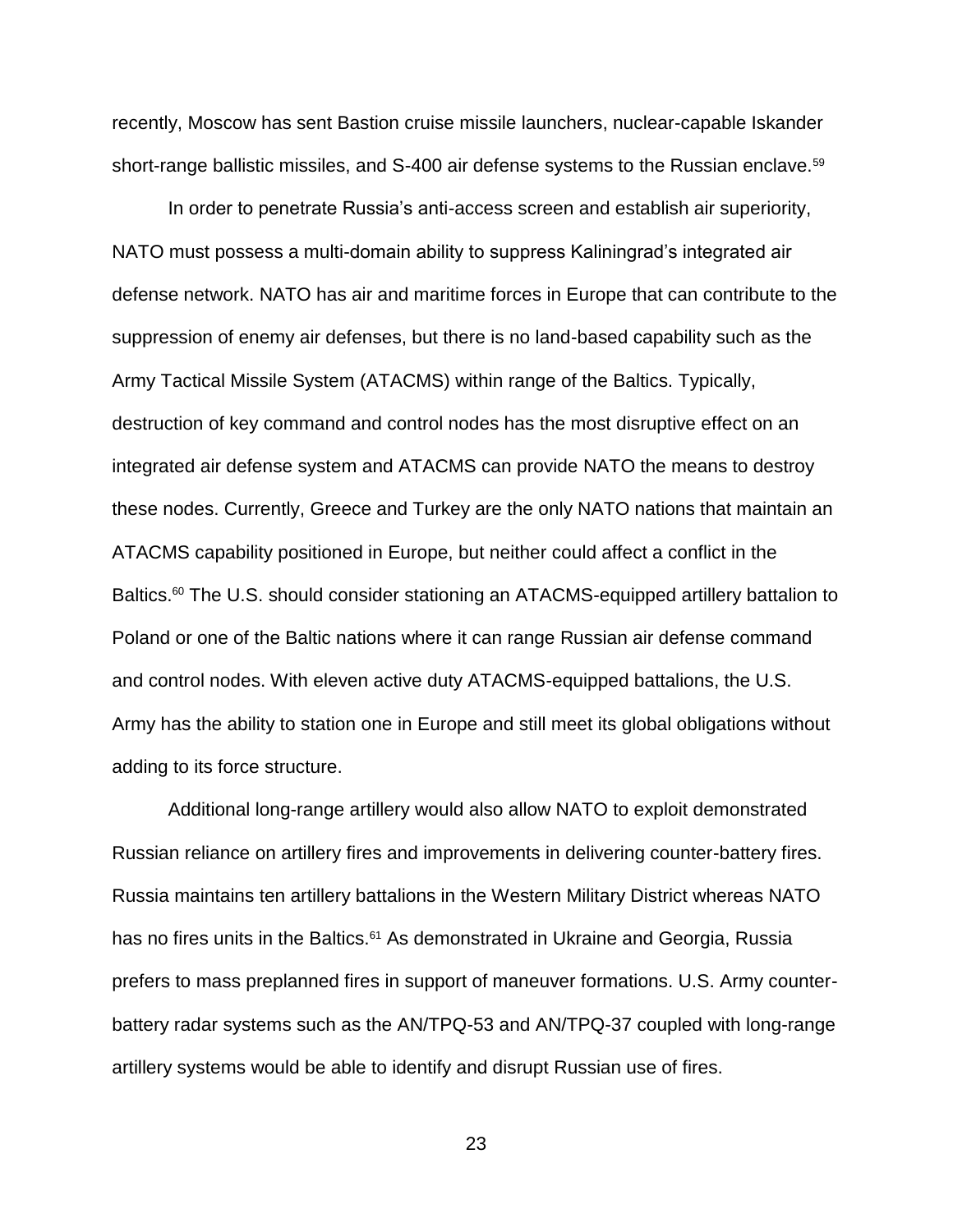recently, Moscow has sent Bastion cruise missile launchers, nuclear-capable Iskander short-range ballistic missiles, and S-400 air defense systems to the Russian enclave.<sup>59</sup>

In order to penetrate Russia's anti-access screen and establish air superiority, NATO must possess a multi-domain ability to suppress Kaliningrad's integrated air defense network. NATO has air and maritime forces in Europe that can contribute to the suppression of enemy air defenses, but there is no land-based capability such as the Army Tactical Missile System (ATACMS) within range of the Baltics. Typically, destruction of key command and control nodes has the most disruptive effect on an integrated air defense system and ATACMS can provide NATO the means to destroy these nodes. Currently, Greece and Turkey are the only NATO nations that maintain an ATACMS capability positioned in Europe, but neither could affect a conflict in the Baltics.<sup>60</sup> The U.S. should consider stationing an ATACMS-equipped artillery battalion to Poland or one of the Baltic nations where it can range Russian air defense command and control nodes. With eleven active duty ATACMS-equipped battalions, the U.S. Army has the ability to station one in Europe and still meet its global obligations without adding to its force structure.

Additional long-range artillery would also allow NATO to exploit demonstrated Russian reliance on artillery fires and improvements in delivering counter-battery fires. Russia maintains ten artillery battalions in the Western Military District whereas NATO has no fires units in the Baltics.<sup>61</sup> As demonstrated in Ukraine and Georgia, Russia prefers to mass preplanned fires in support of maneuver formations. U.S. Army counterbattery radar systems such as the AN/TPQ-53 and AN/TPQ-37 coupled with long-range artillery systems would be able to identify and disrupt Russian use of fires.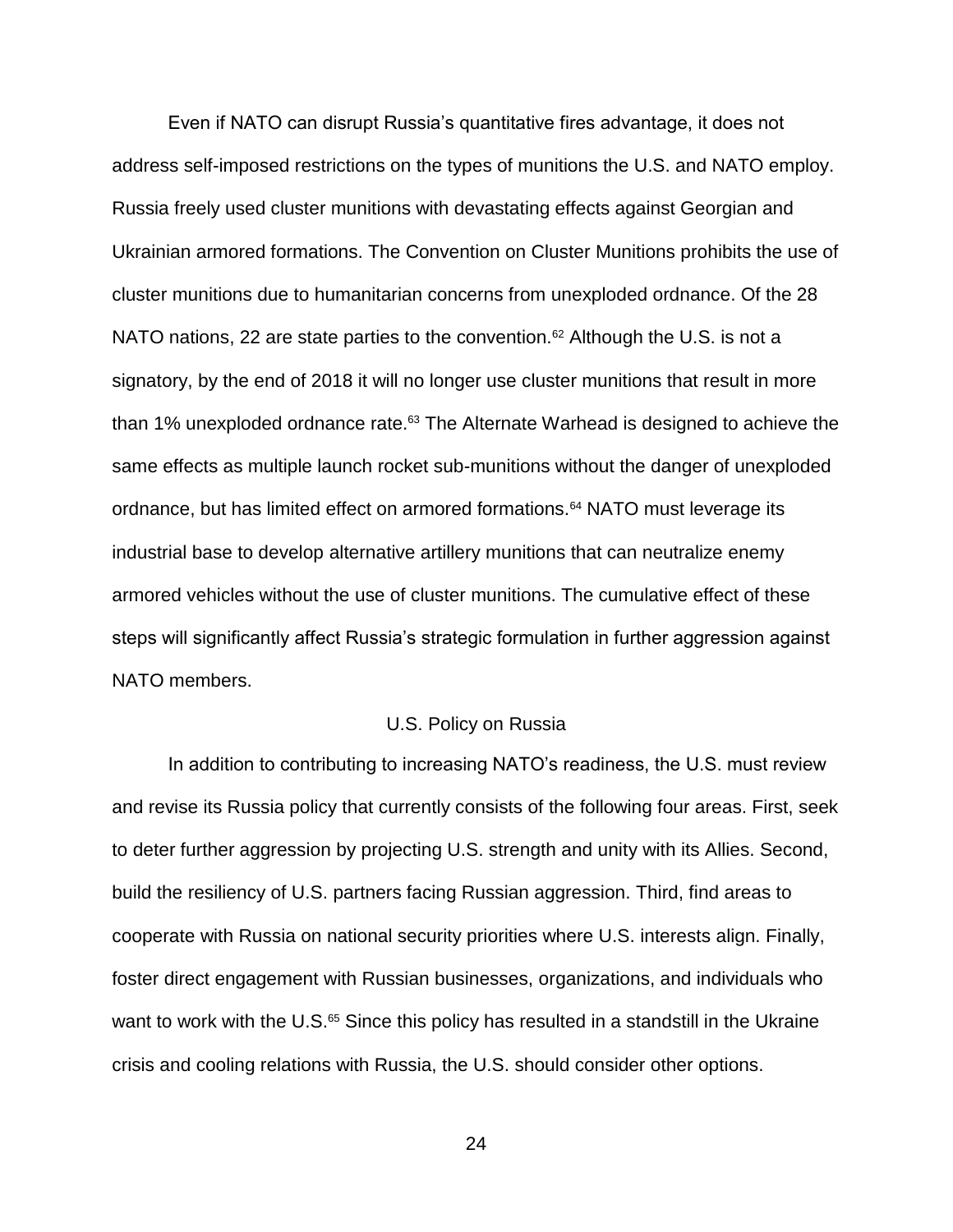Even if NATO can disrupt Russia's quantitative fires advantage, it does not address self-imposed restrictions on the types of munitions the U.S. and NATO employ. Russia freely used cluster munitions with devastating effects against Georgian and Ukrainian armored formations. The Convention on Cluster Munitions prohibits the use of cluster munitions due to humanitarian concerns from unexploded ordnance. Of the 28 NATO nations, 22 are state parties to the convention.<sup>62</sup> Although the U.S. is not a signatory, by the end of 2018 it will no longer use cluster munitions that result in more than 1% unexploded ordnance rate.<sup>63</sup> The Alternate Warhead is designed to achieve the same effects as multiple launch rocket sub-munitions without the danger of unexploded ordnance, but has limited effect on armored formations.<sup>64</sup> NATO must leverage its industrial base to develop alternative artillery munitions that can neutralize enemy armored vehicles without the use of cluster munitions. The cumulative effect of these steps will significantly affect Russia's strategic formulation in further aggression against NATO members.

### U.S. Policy on Russia

In addition to contributing to increasing NATO's readiness, the U.S. must review and revise its Russia policy that currently consists of the following four areas. First, seek to deter further aggression by projecting U.S. strength and unity with its Allies. Second, build the resiliency of U.S. partners facing Russian aggression. Third, find areas to cooperate with Russia on national security priorities where U.S. interests align. Finally, foster direct engagement with Russian businesses, organizations, and individuals who want to work with the U.S.<sup>65</sup> Since this policy has resulted in a standstill in the Ukraine crisis and cooling relations with Russia, the U.S. should consider other options.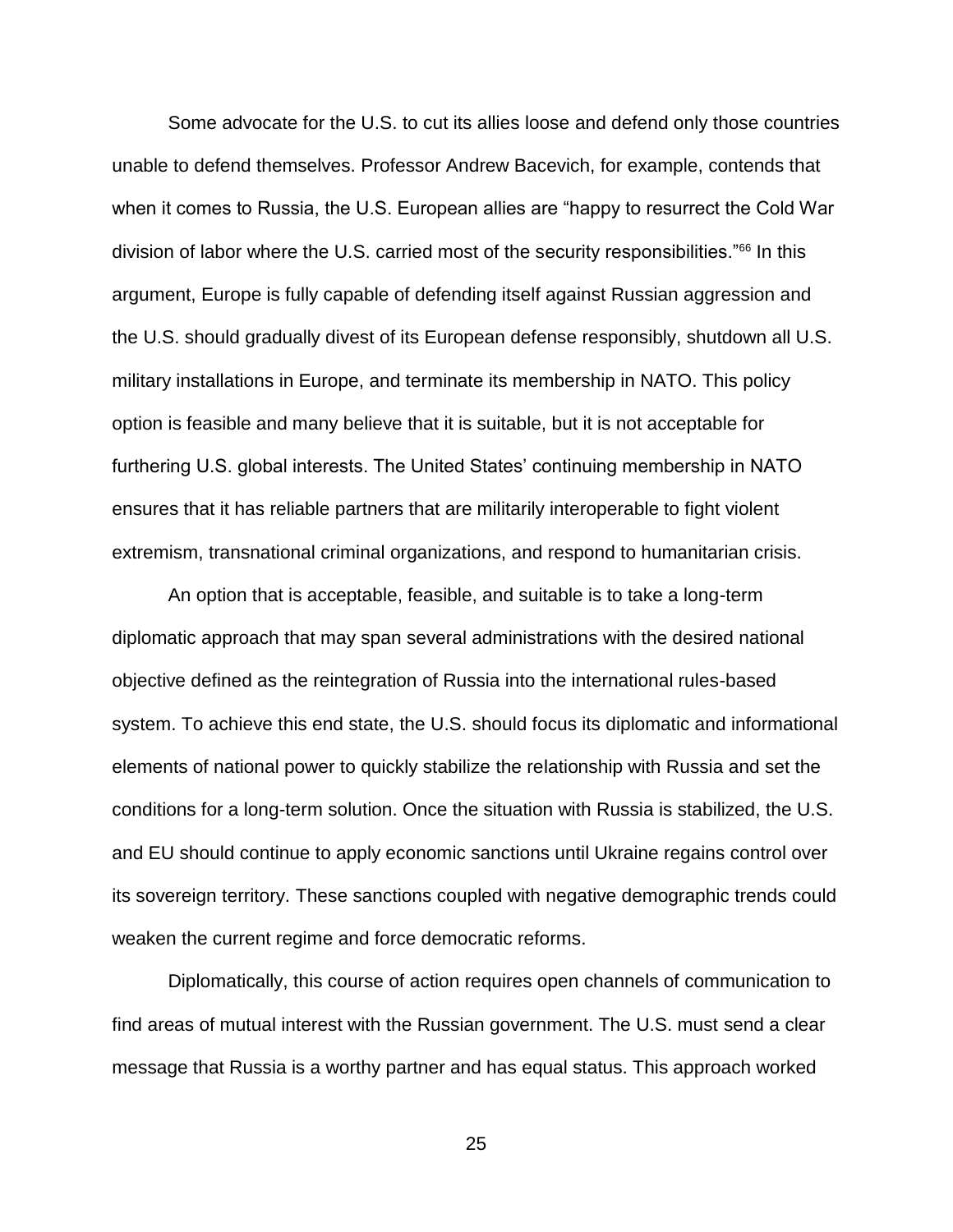Some advocate for the U.S. to cut its allies loose and defend only those countries unable to defend themselves. Professor Andrew Bacevich, for example, contends that when it comes to Russia, the U.S. European allies are "happy to resurrect the Cold War division of labor where the U.S. carried most of the security responsibilities."<sup>66</sup> In this argument, Europe is fully capable of defending itself against Russian aggression and the U.S. should gradually divest of its European defense responsibly, shutdown all U.S. military installations in Europe, and terminate its membership in NATO. This policy option is feasible and many believe that it is suitable, but it is not acceptable for furthering U.S. global interests. The United States' continuing membership in NATO ensures that it has reliable partners that are militarily interoperable to fight violent extremism, transnational criminal organizations, and respond to humanitarian crisis.

An option that is acceptable, feasible, and suitable is to take a long-term diplomatic approach that may span several administrations with the desired national objective defined as the reintegration of Russia into the international rules-based system. To achieve this end state, the U.S. should focus its diplomatic and informational elements of national power to quickly stabilize the relationship with Russia and set the conditions for a long-term solution. Once the situation with Russia is stabilized, the U.S. and EU should continue to apply economic sanctions until Ukraine regains control over its sovereign territory. These sanctions coupled with negative demographic trends could weaken the current regime and force democratic reforms.

Diplomatically, this course of action requires open channels of communication to find areas of mutual interest with the Russian government. The U.S. must send a clear message that Russia is a worthy partner and has equal status. This approach worked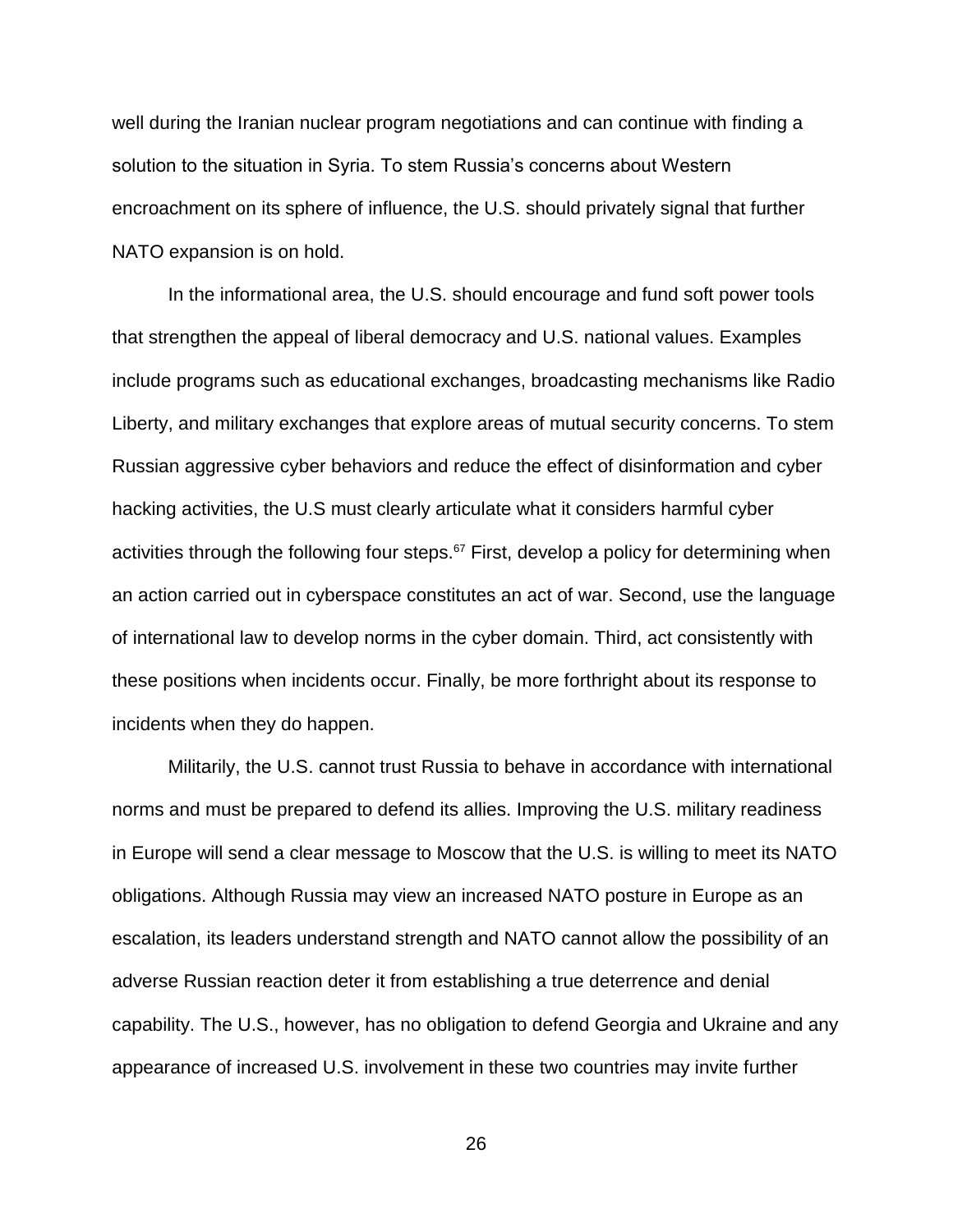well during the Iranian nuclear program negotiations and can continue with finding a solution to the situation in Syria. To stem Russia's concerns about Western encroachment on its sphere of influence, the U.S. should privately signal that further NATO expansion is on hold.

In the informational area, the U.S. should encourage and fund soft power tools that strengthen the appeal of liberal democracy and U.S. national values. Examples include programs such as educational exchanges, broadcasting mechanisms like Radio Liberty, and military exchanges that explore areas of mutual security concerns. To stem Russian aggressive cyber behaviors and reduce the effect of disinformation and cyber hacking activities, the U.S must clearly articulate what it considers harmful cyber activities through the following four steps. $67$  First, develop a policy for determining when an action carried out in cyberspace constitutes an act of war. Second, use the language of international law to develop norms in the cyber domain. Third, act consistently with these positions when incidents occur. Finally, be more forthright about its response to incidents when they do happen.

Militarily, the U.S. cannot trust Russia to behave in accordance with international norms and must be prepared to defend its allies. Improving the U.S. military readiness in Europe will send a clear message to Moscow that the U.S. is willing to meet its NATO obligations. Although Russia may view an increased NATO posture in Europe as an escalation, its leaders understand strength and NATO cannot allow the possibility of an adverse Russian reaction deter it from establishing a true deterrence and denial capability. The U.S., however, has no obligation to defend Georgia and Ukraine and any appearance of increased U.S. involvement in these two countries may invite further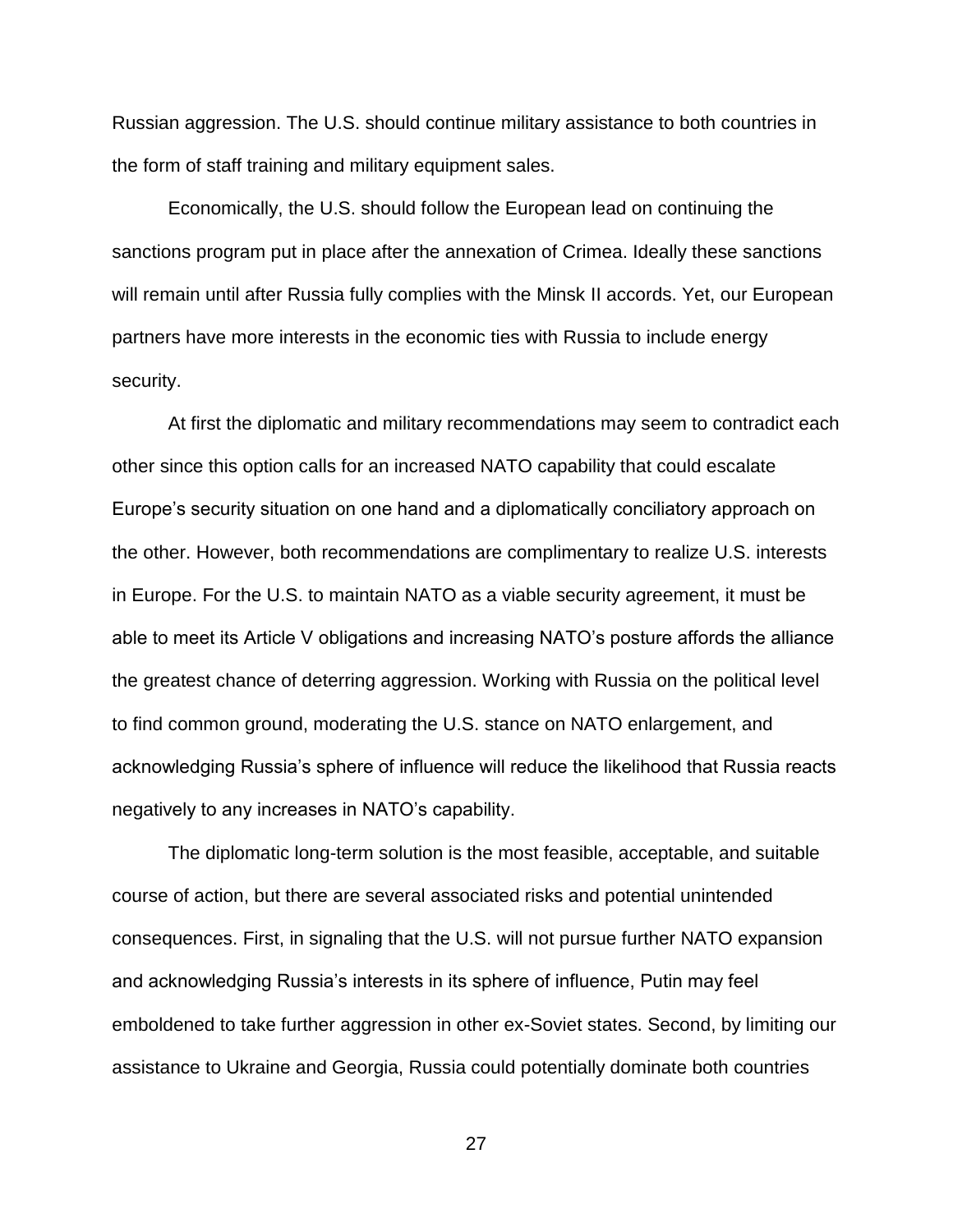Russian aggression. The U.S. should continue military assistance to both countries in the form of staff training and military equipment sales.

Economically, the U.S. should follow the European lead on continuing the sanctions program put in place after the annexation of Crimea. Ideally these sanctions will remain until after Russia fully complies with the Minsk II accords. Yet, our European partners have more interests in the economic ties with Russia to include energy security.

At first the diplomatic and military recommendations may seem to contradict each other since this option calls for an increased NATO capability that could escalate Europe's security situation on one hand and a diplomatically conciliatory approach on the other. However, both recommendations are complimentary to realize U.S. interests in Europe. For the U.S. to maintain NATO as a viable security agreement, it must be able to meet its Article V obligations and increasing NATO's posture affords the alliance the greatest chance of deterring aggression. Working with Russia on the political level to find common ground, moderating the U.S. stance on NATO enlargement, and acknowledging Russia's sphere of influence will reduce the likelihood that Russia reacts negatively to any increases in NATO's capability.

The diplomatic long-term solution is the most feasible, acceptable, and suitable course of action, but there are several associated risks and potential unintended consequences. First, in signaling that the U.S. will not pursue further NATO expansion and acknowledging Russia's interests in its sphere of influence, Putin may feel emboldened to take further aggression in other ex-Soviet states. Second, by limiting our assistance to Ukraine and Georgia, Russia could potentially dominate both countries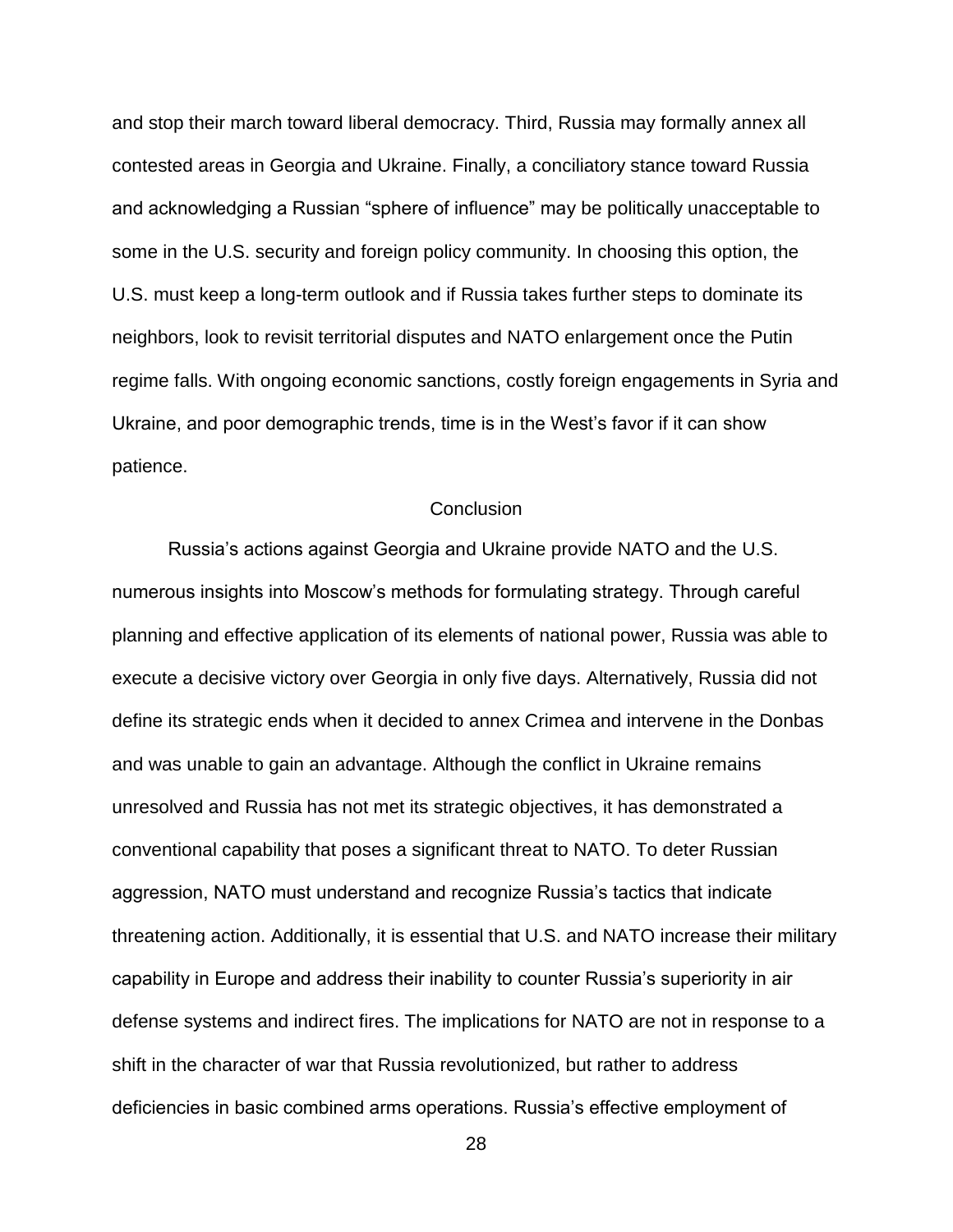and stop their march toward liberal democracy. Third, Russia may formally annex all contested areas in Georgia and Ukraine. Finally, a conciliatory stance toward Russia and acknowledging a Russian "sphere of influence" may be politically unacceptable to some in the U.S. security and foreign policy community. In choosing this option, the U.S. must keep a long-term outlook and if Russia takes further steps to dominate its neighbors, look to revisit territorial disputes and NATO enlargement once the Putin regime falls. With ongoing economic sanctions, costly foreign engagements in Syria and Ukraine, and poor demographic trends, time is in the West's favor if it can show patience.

# **Conclusion**

Russia's actions against Georgia and Ukraine provide NATO and the U.S. numerous insights into Moscow's methods for formulating strategy. Through careful planning and effective application of its elements of national power, Russia was able to execute a decisive victory over Georgia in only five days. Alternatively, Russia did not define its strategic ends when it decided to annex Crimea and intervene in the Donbas and was unable to gain an advantage. Although the conflict in Ukraine remains unresolved and Russia has not met its strategic objectives, it has demonstrated a conventional capability that poses a significant threat to NATO. To deter Russian aggression, NATO must understand and recognize Russia's tactics that indicate threatening action. Additionally, it is essential that U.S. and NATO increase their military capability in Europe and address their inability to counter Russia's superiority in air defense systems and indirect fires. The implications for NATO are not in response to a shift in the character of war that Russia revolutionized, but rather to address deficiencies in basic combined arms operations. Russia's effective employment of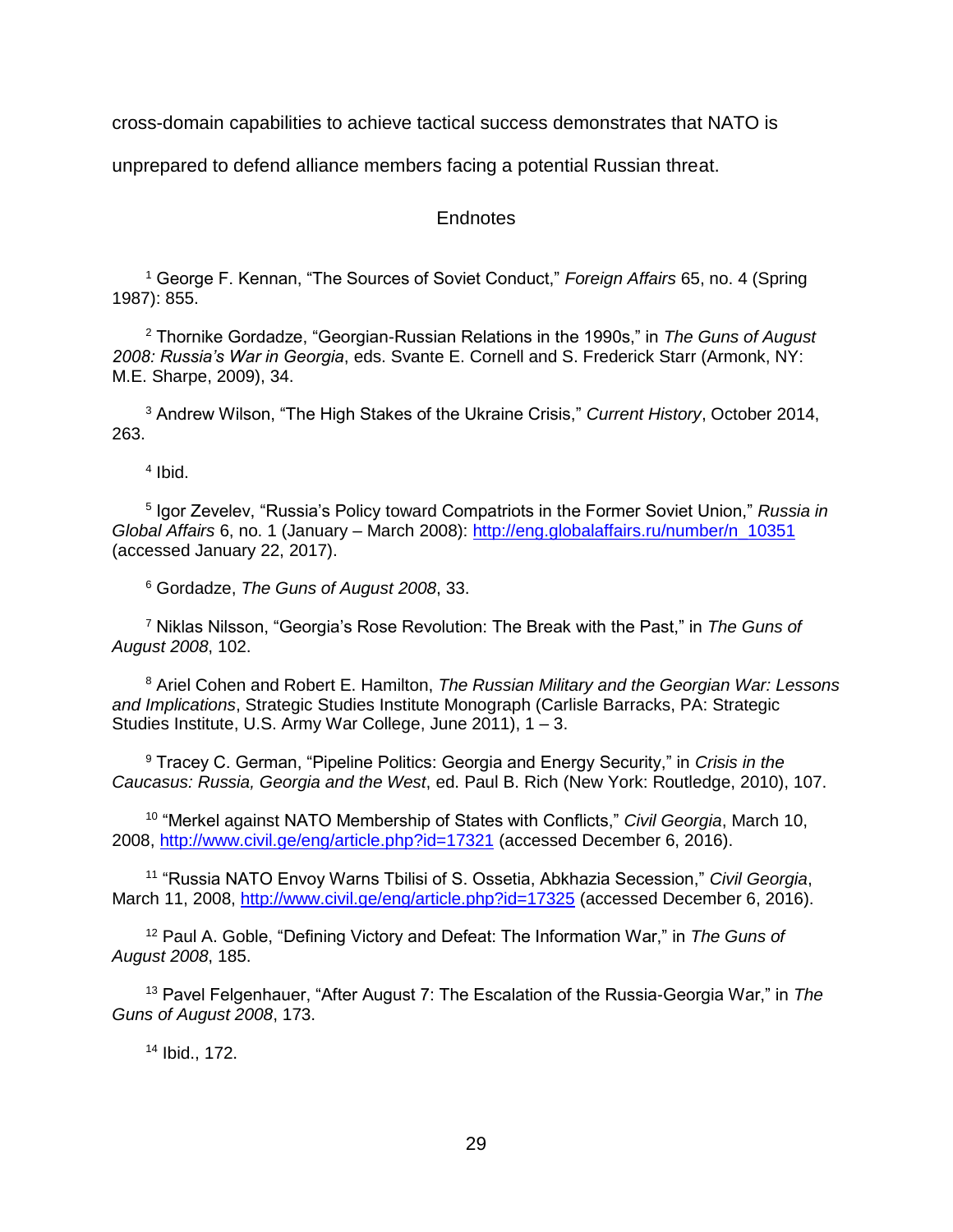cross-domain capabilities to achieve tactical success demonstrates that NATO is

unprepared to defend alliance members facing a potential Russian threat.

# Endnotes

<sup>1</sup> George F. Kennan, "The Sources of Soviet Conduct," *Foreign Affairs* 65, no. 4 (Spring 1987): 855.

<sup>2</sup> Thornike Gordadze, "Georgian-Russian Relations in the 1990s," in *The Guns of August 2008: Russia's War in Georgia*, eds. Svante E. Cornell and S. Frederick Starr (Armonk, NY: M.E. Sharpe, 2009), 34.

<sup>3</sup> Andrew Wilson, "The High Stakes of the Ukraine Crisis," *Current History*, October 2014, 263.

4 Ibid.

5 Igor Zevelev, "Russia's Policy toward Compatriots in the Former Soviet Union," *Russia in Global Affairs* 6, no. 1 (January – March 2008): [http://eng.globalaffairs.ru/number/n\\_10351](http://eng.globalaffairs.ru/number/n_10351) (accessed January 22, 2017).

<sup>6</sup> Gordadze, *The Guns of August 2008*, 33.

<sup>7</sup> Niklas Nilsson, "Georgia's Rose Revolution: The Break with the Past," in *The Guns of August 2008*, 102.

<sup>8</sup> Ariel Cohen and Robert E. Hamilton, *The Russian Military and the Georgian War: Lessons and Implications*, Strategic Studies Institute Monograph (Carlisle Barracks, PA: Strategic Studies Institute, U.S. Army War College, June 2011), 1 – 3.

<sup>9</sup> Tracey C. German, "Pipeline Politics: Georgia and Energy Security," in *Crisis in the Caucasus: Russia, Georgia and the West*, ed. Paul B. Rich (New York: Routledge, 2010), 107.

<sup>10</sup> "Merkel against NATO Membership of States with Conflicts," *Civil Georgia*, March 10, 2008,<http://www.civil.ge/eng/article.php?id=17321> (accessed December 6, 2016).

<sup>11</sup> "Russia NATO Envoy Warns Tbilisi of S. Ossetia, Abkhazia Secession," *Civil Georgia*, March 11, 2008,<http://www.civil.ge/eng/article.php?id=17325> (accessed December 6, 2016).

<sup>12</sup> Paul A. Goble, "Defining Victory and Defeat: The Information War," in *The Guns of August 2008*, 185.

<sup>13</sup> Pavel Felgenhauer, "After August 7: The Escalation of the Russia-Georgia War," in *The Guns of August 2008*, 173.

<sup>14</sup> Ibid., 172.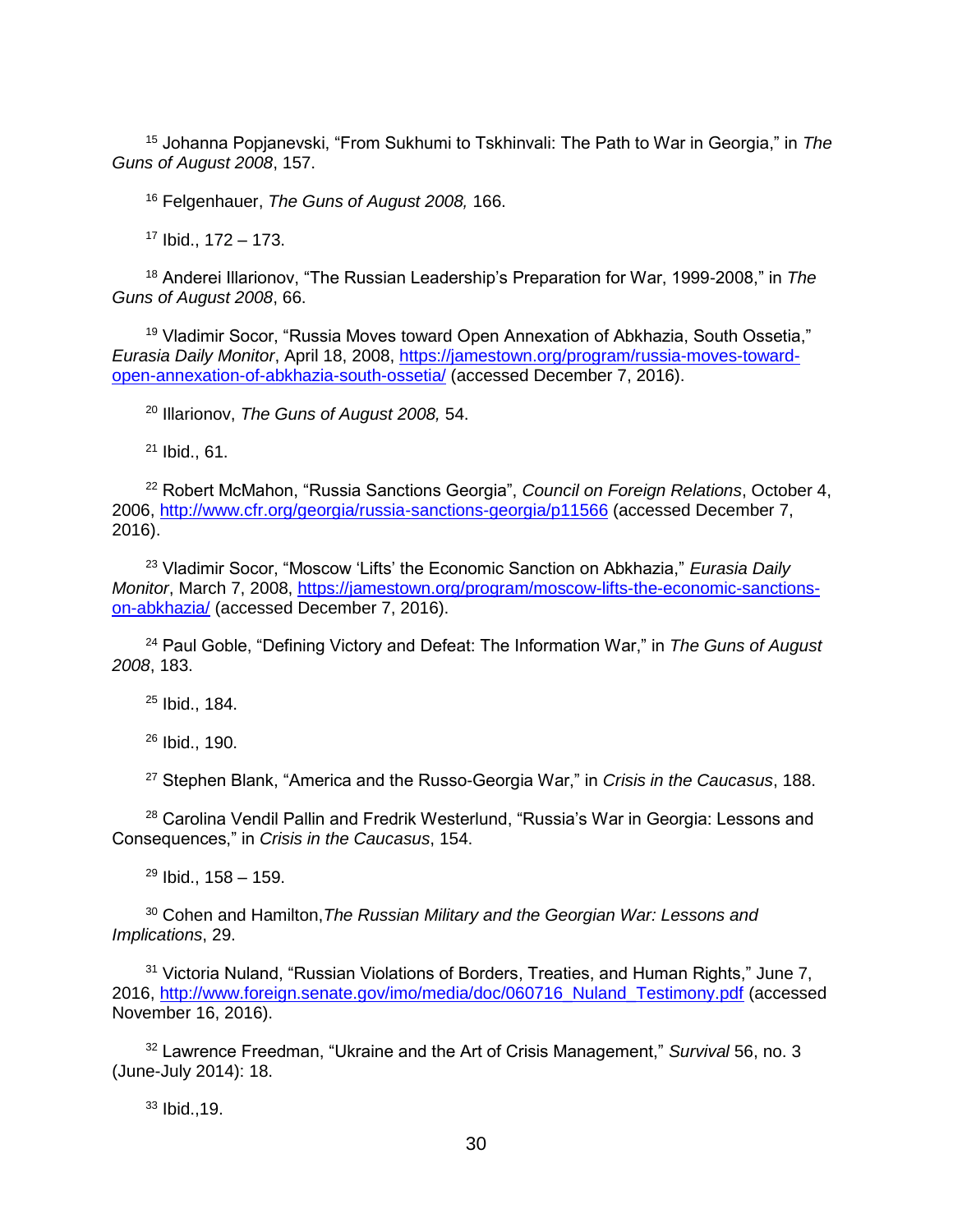<sup>15</sup> Johanna Popjanevski, "From Sukhumi to Tskhinvali: The Path to War in Georgia," in *The Guns of August 2008*, 157.

<sup>16</sup> Felgenhauer, *The Guns of August 2008,* 166.

<sup>17</sup> Ibid., 172 – 173.

<sup>18</sup> Anderei Illarionov, "The Russian Leadership's Preparation for War, 1999-2008," in *The Guns of August 2008*, 66.

<sup>19</sup> Vladimir Socor, "Russia Moves toward Open Annexation of Abkhazia, South Ossetia," *Eurasia Daily Monitor*, April 18, 2008, [https://jamestown.org/program/russia-moves-toward](https://jamestown.org/program/russia-moves-toward-open-annexation-of-abkhazia-south-ossetia/)[open-annexation-of-abkhazia-south-ossetia/](https://jamestown.org/program/russia-moves-toward-open-annexation-of-abkhazia-south-ossetia/) (accessed December 7, 2016).

<sup>20</sup> Illarionov, *The Guns of August 2008,* 54.

<sup>21</sup> Ibid., 61.

<sup>22</sup> Robert McMahon, "Russia Sanctions Georgia", *Council on Foreign Relations*, October 4, 2006,<http://www.cfr.org/georgia/russia-sanctions-georgia/p11566> (accessed December 7, 2016).

<sup>23</sup> Vladimir Socor, "Moscow 'Lifts' the Economic Sanction on Abkhazia," *Eurasia Daily Monitor*, March 7, 2008, [https://jamestown.org/program/moscow-lifts-the-economic-sanctions](https://jamestown.org/program/moscow-lifts-the-economic-sanctions-on-abkhazia/)[on-abkhazia/](https://jamestown.org/program/moscow-lifts-the-economic-sanctions-on-abkhazia/) (accessed December 7, 2016).

<sup>24</sup> Paul Goble, "Defining Victory and Defeat: The Information War," in *The Guns of August 2008*, 183.

<sup>25</sup> Ibid., 184.

<sup>26</sup> Ibid., 190.

<sup>27</sup> Stephen Blank, "America and the Russo-Georgia War," in *Crisis in the Caucasus*, 188.

<sup>28</sup> Carolina Vendil Pallin and Fredrik Westerlund, "Russia's War in Georgia: Lessons and Consequences," in *Crisis in the Caucasus*, 154.

 $29$  Ibid., 158 – 159.

<sup>30</sup> Cohen and Hamilton,*The Russian Military and the Georgian War: Lessons and Implications*, 29.

<sup>31</sup> Victoria Nuland, "Russian Violations of Borders, Treaties, and Human Rights," June 7, 2016, [http://www.foreign.senate.gov/imo/media/doc/060716\\_Nuland\\_Testimony.pdf](http://www.foreign.senate.gov/imo/media/doc/060716_Nuland_Testimony.pdf) (accessed November 16, 2016).

<sup>32</sup> Lawrence Freedman, "Ukraine and the Art of Crisis Management," *Survival* 56, no. 3 (June-July 2014): 18.

<sup>33</sup> Ibid.,19.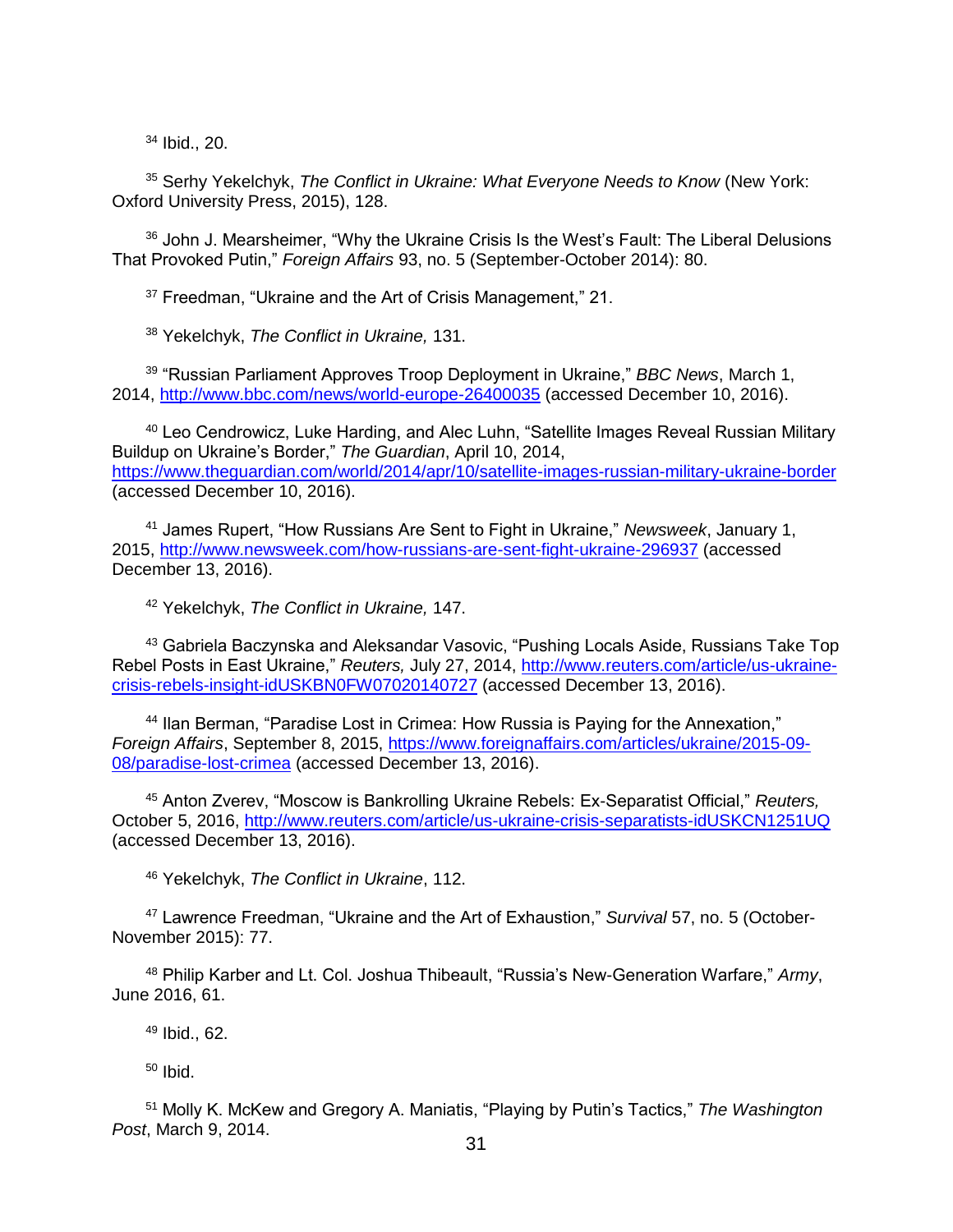<sup>34</sup> Ibid., 20.

<sup>35</sup> Serhy Yekelchyk, *The Conflict in Ukraine: What Everyone Needs to Know* (New York: Oxford University Press, 2015), 128.

<sup>36</sup> John J. Mearsheimer, "Why the Ukraine Crisis Is the West's Fault: The Liberal Delusions That Provoked Putin," *Foreign Affairs* 93, no. 5 (September-October 2014): 80.

<sup>37</sup> Freedman, "Ukraine and the Art of Crisis Management," 21.

<sup>38</sup> Yekelchyk, *The Conflict in Ukraine,* 131.

<sup>39</sup> "Russian Parliament Approves Troop Deployment in Ukraine," *BBC News*, March 1, 2014,<http://www.bbc.com/news/world-europe-26400035> (accessed December 10, 2016).

<sup>40</sup> Leo Cendrowicz, Luke Harding, and Alec Luhn, "Satellite Images Reveal Russian Military Buildup on Ukraine's Border," *The Guardian*, April 10, 2014, <https://www.theguardian.com/world/2014/apr/10/satellite-images-russian-military-ukraine-border> (accessed December 10, 2016).

<sup>41</sup> James Rupert, "How Russians Are Sent to Fight in Ukraine," *Newsweek*, January 1, 2015,<http://www.newsweek.com/how-russians-are-sent-fight-ukraine-296937> (accessed December 13, 2016).

<sup>42</sup> Yekelchyk, *The Conflict in Ukraine,* 147.

43 Gabriela Baczynska and Aleksandar Vasovic, "Pushing Locals Aside, Russians Take Top Rebel Posts in East Ukraine," *Reuters,* July 27, 2014, [http://www.reuters.com/article/us-ukraine](http://www.reuters.com/article/us-ukraine-crisis-rebels-insight-idUSKBN0FW07020140727)[crisis-rebels-insight-idUSKBN0FW07020140727](http://www.reuters.com/article/us-ukraine-crisis-rebels-insight-idUSKBN0FW07020140727) (accessed December 13, 2016).

<sup>44</sup> Ilan Berman, "Paradise Lost in Crimea: How Russia is Paying for the Annexation," *Foreign Affairs*, September 8, 2015, [https://www.foreignaffairs.com/articles/ukraine/2015-09-](https://www.foreignaffairs.com/articles/ukraine/2015-09-08/paradise-lost-crimea) [08/paradise-lost-crimea](https://www.foreignaffairs.com/articles/ukraine/2015-09-08/paradise-lost-crimea) (accessed December 13, 2016).

<sup>45</sup> Anton Zverev, "Moscow is Bankrolling Ukraine Rebels: Ex-Separatist Official," *Reuters,* October 5, 2016,<http://www.reuters.com/article/us-ukraine-crisis-separatists-idUSKCN1251UQ> (accessed December 13, 2016).

<sup>46</sup> Yekelchyk, *The Conflict in Ukraine*, 112.

<sup>47</sup> Lawrence Freedman, "Ukraine and the Art of Exhaustion," *Survival* 57, no. 5 (October-November 2015): 77.

<sup>48</sup> Philip Karber and Lt. Col. Joshua Thibeault, "Russia's New-Generation Warfare," *Army*, June 2016, 61.

<sup>49</sup> Ibid., 62.

 $50$  Ibid.

<sup>51</sup> Molly K. McKew and Gregory A. Maniatis, "Playing by Putin's Tactics," *The Washington Post*, March 9, 2014.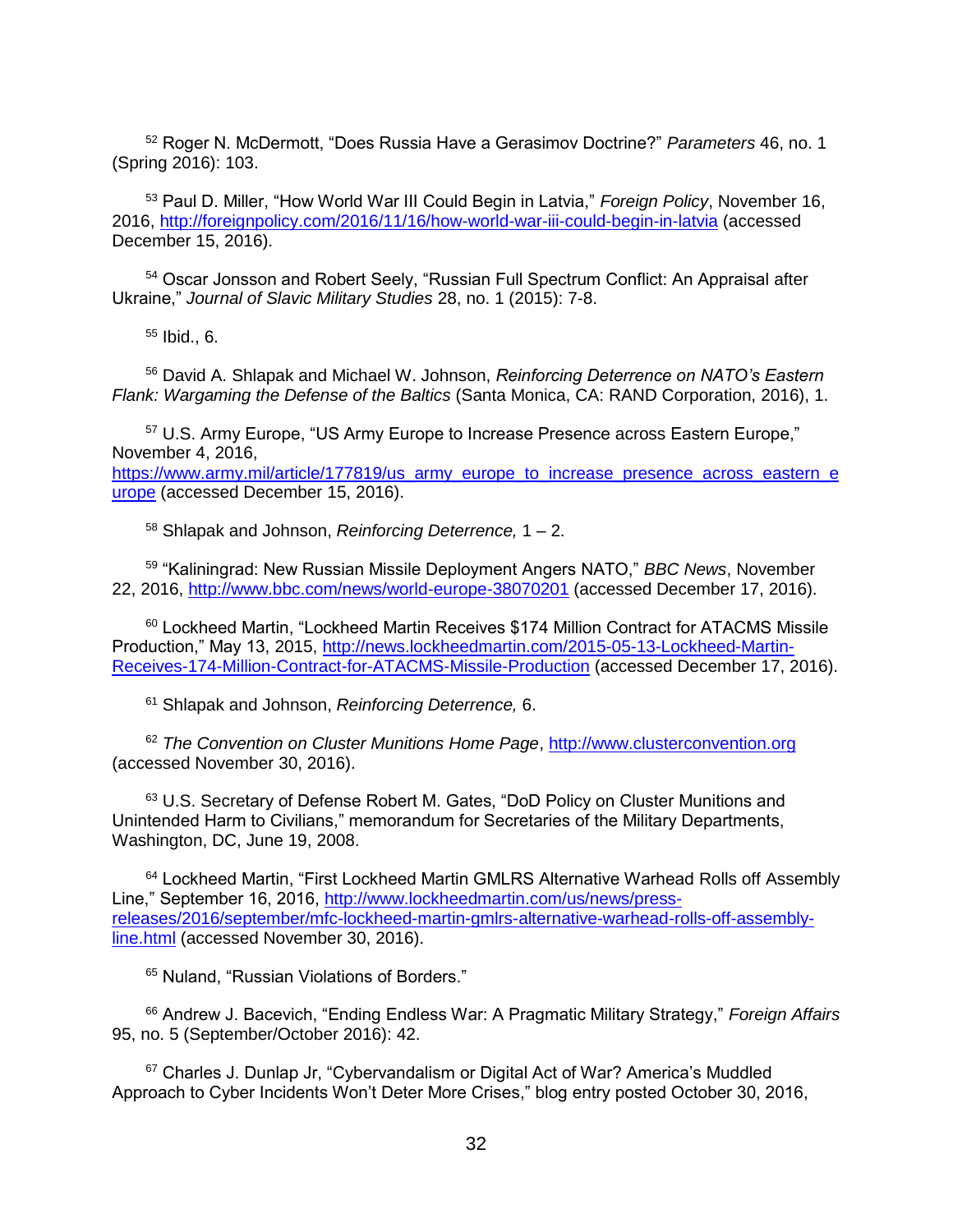<sup>52</sup> Roger N. McDermott, "Does Russia Have a Gerasimov Doctrine?" *Parameters* 46, no. 1 (Spring 2016): 103.

<sup>53</sup> Paul D. Miller, "How World War III Could Begin in Latvia," *Foreign Policy*, November 16, 2016,<http://foreignpolicy.com/2016/11/16/how-world-war-iii-could-begin-in-latvia> (accessed December 15, 2016).

<sup>54</sup> Oscar Jonsson and Robert Seely, "Russian Full Spectrum Conflict: An Appraisal after Ukraine," *Journal of Slavic Military Studies* 28, no. 1 (2015): 7-8.

 $55$  Ibid., 6.

<sup>56</sup> David A. Shlapak and Michael W. Johnson, *Reinforcing Deterrence on NATO's Eastern Flank: Wargaming the Defense of the Baltics* (Santa Monica, CA: RAND Corporation, 2016), 1.

<sup>57</sup> U.S. Army Europe, "US Army Europe to Increase Presence across Eastern Europe," November 4, 2016, [https://www.army.mil/article/177819/us\\_army\\_europe\\_to\\_increase\\_presence\\_across\\_eastern\\_e](https://www.army.mil/article/177819/us_army_europe_to_increase_presence_across_eastern_europe) [urope](https://www.army.mil/article/177819/us_army_europe_to_increase_presence_across_eastern_europe) (accessed December 15, 2016).

<sup>58</sup> Shlapak and Johnson, *Reinforcing Deterrence,* 1 – 2.

<sup>59</sup> "Kaliningrad: New Russian Missile Deployment Angers NATO," *BBC News*, November 22, 2016,<http://www.bbc.com/news/world-europe-38070201> (accessed December 17, 2016).

<sup>60</sup> Lockheed Martin, "Lockheed Martin Receives \$174 Million Contract for ATACMS Missile Production," May 13, 2015, [http://news.lockheedmartin.com/2015-05-13-Lockheed-Martin-](http://news.lockheedmartin.com/2015-05-13-Lockheed-Martin-Receives-174-Million-Contract-for-ATACMS-Missile-Production)[Receives-174-Million-Contract-for-ATACMS-Missile-Production](http://news.lockheedmartin.com/2015-05-13-Lockheed-Martin-Receives-174-Million-Contract-for-ATACMS-Missile-Production) (accessed December 17, 2016).

<sup>61</sup> Shlapak and Johnson, *Reinforcing Deterrence,* 6.

<sup>62</sup> *The Convention on Cluster Munitions Home Page*, [http://www.clusterconvention.org](http://www.clusterconvention.org/) (accessed November 30, 2016).

 $63$  U.S. Secretary of Defense Robert M. Gates, "DoD Policy on Cluster Munitions and Unintended Harm to Civilians," memorandum for Secretaries of the Military Departments, Washington, DC, June 19, 2008.

64 Lockheed Martin, "First Lockheed Martin GMLRS Alternative Warhead Rolls off Assembly Line," September 16, 2016, [http://www.lockheedmartin.com/us/news/press](http://www.lockheedmartin.com/us/news/press-releases/2016/september/mfc-lockheed-martin-gmlrs-alternative-warhead-rolls-off-assembly-line.html)[releases/2016/september/mfc-lockheed-martin-gmlrs-alternative-warhead-rolls-off-assembly](http://www.lockheedmartin.com/us/news/press-releases/2016/september/mfc-lockheed-martin-gmlrs-alternative-warhead-rolls-off-assembly-line.html)[line.html](http://www.lockheedmartin.com/us/news/press-releases/2016/september/mfc-lockheed-martin-gmlrs-alternative-warhead-rolls-off-assembly-line.html) (accessed November 30, 2016).

<sup>65</sup> Nuland, "Russian Violations of Borders."

<sup>66</sup> Andrew J. Bacevich, "Ending Endless War: A Pragmatic Military Strategy," *Foreign Affairs* 95, no. 5 (September/October 2016): 42.

<sup>67</sup> Charles J. Dunlap Jr, "Cybervandalism or Digital Act of War? America's Muddled Approach to Cyber Incidents Won't Deter More Crises," blog entry posted October 30, 2016,